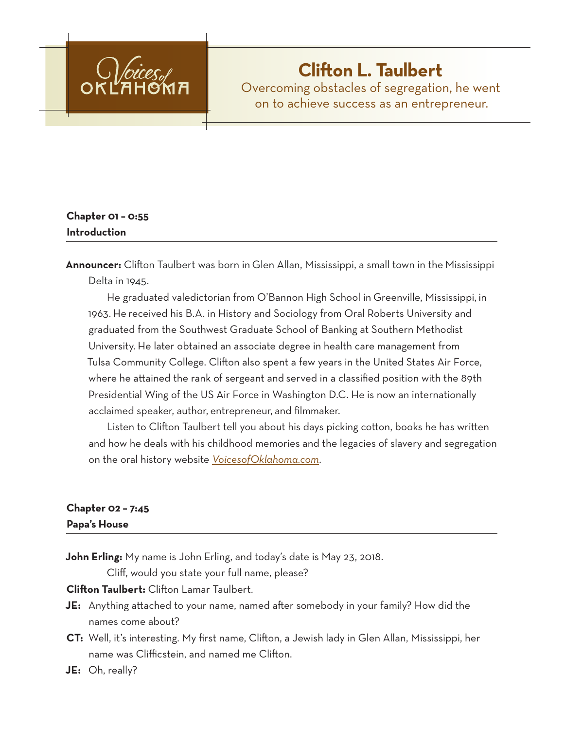

# **Clifton L. Taulbert**

Overcoming obstacles of segregation, he went on to achieve success as an entrepreneur.

# **Chapter 01 – 0:55 Introduction**

**Announcer:** Clifton Taulbert was born in Glen Allan, Mississippi, a small town in the Mississippi Delta in 1945.

He graduated valedictorian from O'Bannon High School in Greenville, Mississippi, in 1963. He received his B.A. in History and Sociology from Oral Roberts University and graduated from the Southwest Graduate School of Banking at Southern Methodist University. He later obtained an associate degree in health care management from Tulsa Community College. Clifton also spent a few years in the United States Air Force, where he attained the rank of sergeant and served in a classified position with the 89th Presidential Wing of the US Air Force in Washington D.C. He is now an internationally acclaimed speaker, author, entrepreneur, and filmmaker.

Listen to Clifton Taulbert tell you about his days picking cotton, books he has written and how he deals with his childhood memories and the legacies of slavery and segregation on the oral history website *VoicesofOklahoma.com*.

# **Chapter 02 – 7:45**

**Papa's House**

**John Erling:** My name is John Erling, and today's date is May 23, 2018.

Cliff, would you state your full name, please?

**Clifton Taulbert:** Clifton Lamar Taulbert.

- **JE:** Anything attached to your name, named after somebody in your family? How did the names come about?
- **CT:** Well, it's interesting. My first name, Clifton, a Jewish lady in Glen Allan, Mississippi, her name was Clifficstein, and named me Clifton.

**JE:** Oh, really?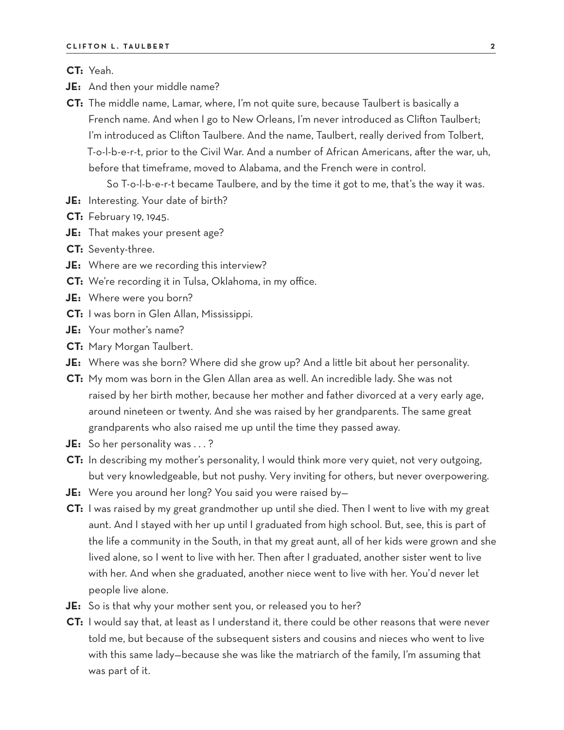**CT:** Yeah.

- **JE:** And then your middle name?
- **CT:** The middle name, Lamar, where, I'm not quite sure, because Taulbert is basically a French name. And when I go to New Orleans, I'm never introduced as Clifton Taulbert; I'm introduced as Clifton Taulbere. And the name, Taulbert, really derived from Tolbert, T-o-l-b-e-r-t, prior to the Civil War. And a number of African Americans, after the war, uh, before that timeframe, moved to Alabama, and the French were in control.

So T-o-l-b-e-r-t became Taulbere, and by the time it got to me, that's the way it was.

- **JE:** Interesting. Your date of birth?
- **CT:** February 19, 1945.
- **JE:** That makes your present age?
- **CT:** Seventy-three.
- **JE:** Where are we recording this interview?
- **CT:** We're recording it in Tulsa, Oklahoma, in my office.
- **JE:** Where were you born?
- **CT:** I was born in Glen Allan, Mississippi.
- **JE:** Your mother's name?
- **CT:** Mary Morgan Taulbert.
- **JE:** Where was she born? Where did she grow up? And a little bit about her personality.
- **CT:** My mom was born in the Glen Allan area as well. An incredible lady. She was not raised by her birth mother, because her mother and father divorced at a very early age, around nineteen or twenty. And she was raised by her grandparents. The same great grandparents who also raised me up until the time they passed away.
- **JE:** So her personality was . . . ?
- **CT:** In describing my mother's personality, I would think more very quiet, not very outgoing, but very knowledgeable, but not pushy. Very inviting for others, but never overpowering.
- **JE:** Were you around her long? You said you were raised by—
- **CT:** I was raised by my great grandmother up until she died. Then I went to live with my great aunt. And I stayed with her up until I graduated from high school. But, see, this is part of the life a community in the South, in that my great aunt, all of her kids were grown and she lived alone, so I went to live with her. Then after I graduated, another sister went to live with her. And when she graduated, another niece went to live with her. You'd never let people live alone.
- **JE:** So is that why your mother sent you, or released you to her?
- **CT:** I would say that, at least as I understand it, there could be other reasons that were never told me, but because of the subsequent sisters and cousins and nieces who went to live with this same lady—because she was like the matriarch of the family, I'm assuming that was part of it.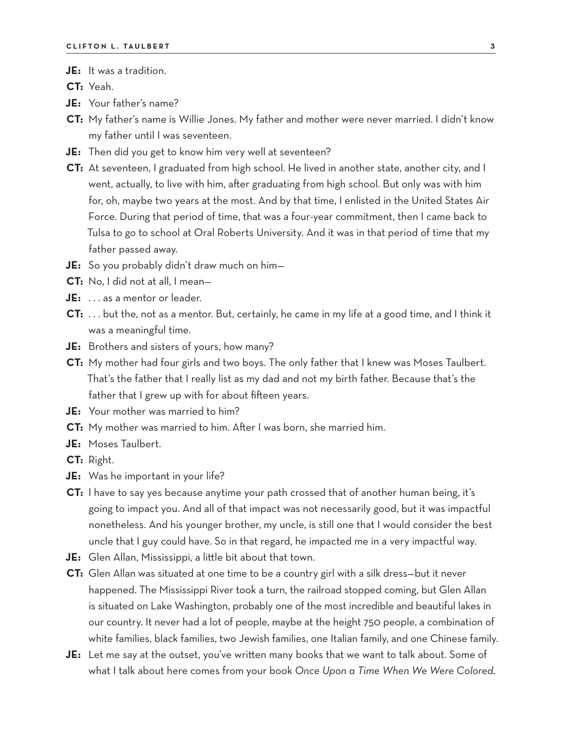### **JE:** It was a tradition.

**CT:** Yeah.

- **JE:** Your father's name?
- **CT:** My father's name is Willie Jones. My father and mother were never married. I didn't know my father until I was seventeen.
- **JE:** Then did you get to know him very well at seventeen?
- **CT:** At seventeen, I graduated from high school. He lived in another state, another city, and I went, actually, to live with him, after graduating from high school. But only was with him for, oh, maybe two years at the most. And by that time, I enlisted in the United States Air Force. During that period of time, that was a four-year commitment, then I came back to Tulsa to go to school at Oral Roberts University. And it was in that period of time that my father passed away.
- **JE:** So you probably didn't draw much on him—
- **CT:** No, I did not at all, I mean—
- **JE:** . . . as a mentor or leader.
- **CT:** . . . but the, not as a mentor. But, certainly, he came in my life at a good time, and I think it was a meaningful time.
- **JE:** Brothers and sisters of yours, how many?
- **CT:** My mother had four girls and two boys. The only father that I knew was Moses Taulbert. That's the father that I really list as my dad and not my birth father. Because that's the father that I grew up with for about fifteen years.
- **JE:** Your mother was married to him?
- **CT:** My mother was married to him. After I was born, she married him.
- **JE:** Moses Taulbert.
- **CT:** Right.
- **JE:** Was he important in your life?
- **CT:** I have to say yes because anytime your path crossed that of another human being, it's going to impact you. And all of that impact was not necessarily good, but it was impactful nonetheless. And his younger brother, my uncle, is still one that I would consider the best uncle that I guy could have. So in that regard, he impacted me in a very impactful way.
- **JE:** Glen Allan, Mississippi, a little bit about that town.
- **CT:** Glen Allan was situated at one time to be a country girl with a silk dress—but it never happened. The Mississippi River took a turn, the railroad stopped coming, but Glen Allan is situated on Lake Washington, probably one of the most incredible and beautiful lakes in our country. It never had a lot of people, maybe at the height 750 people, a combination of white families, black families, two Jewish families, one Italian family, and one Chinese family.
- **JE:** Let me say at the outset, you've written many books that we want to talk about. Some of what I talk about here comes from your book *Once Upon a Time When We Were Colored.*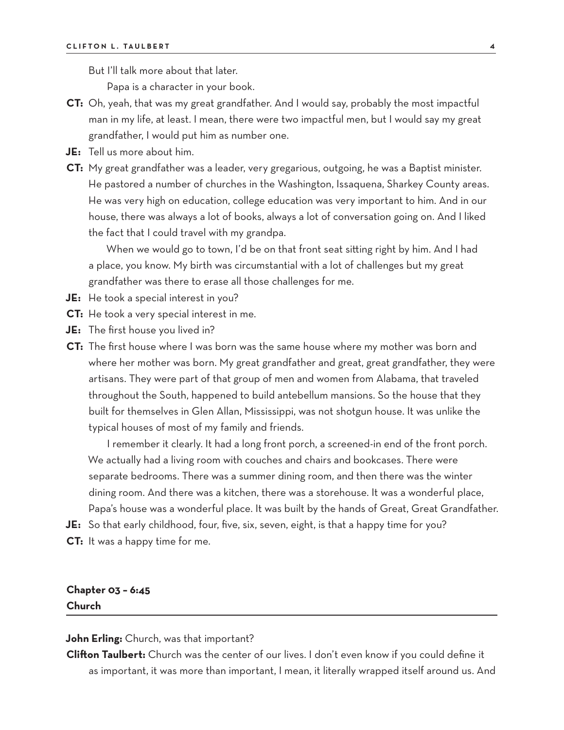But I'll talk more about that later.

Papa is a character in your book.

- **CT:** Oh, yeah, that was my great grandfather. And I would say, probably the most impactful man in my life, at least. I mean, there were two impactful men, but I would say my great grandfather, I would put him as number one.
- **JE:** Tell us more about him.
- **CT:** My great grandfather was a leader, very gregarious, outgoing, he was a Baptist minister. He pastored a number of churches in the Washington, Issaquena, Sharkey County areas. He was very high on education, college education was very important to him. And in our house, there was always a lot of books, always a lot of conversation going on. And I liked the fact that I could travel with my grandpa.

When we would go to town, I'd be on that front seat sitting right by him. And I had a place, you know. My birth was circumstantial with a lot of challenges but my great grandfather was there to erase all those challenges for me.

- **JE:** He took a special interest in you?
- **CT:** He took a very special interest in me.
- **JE:** The first house you lived in?
- **CT:** The first house where I was born was the same house where my mother was born and where her mother was born. My great grandfather and great, great grandfather, they were artisans. They were part of that group of men and women from Alabama, that traveled throughout the South, happened to build antebellum mansions. So the house that they built for themselves in Glen Allan, Mississippi, was not shotgun house. It was unlike the typical houses of most of my family and friends.

I remember it clearly. It had a long front porch, a screened-in end of the front porch. We actually had a living room with couches and chairs and bookcases. There were separate bedrooms. There was a summer dining room, and then there was the winter dining room. And there was a kitchen, there was a storehouse. It was a wonderful place, Papa's house was a wonderful place. It was built by the hands of Great, Great Grandfather.

- **JE:** So that early childhood, four, five, six, seven, eight, is that a happy time for you?
- **CT:** It was a happy time for me.

### **Chapter 03 – 6:45 Church**

**John Erling:** Church, was that important?

**Clifton Taulbert:** Church was the center of our lives. I don't even know if you could define it as important, it was more than important, I mean, it literally wrapped itself around us. And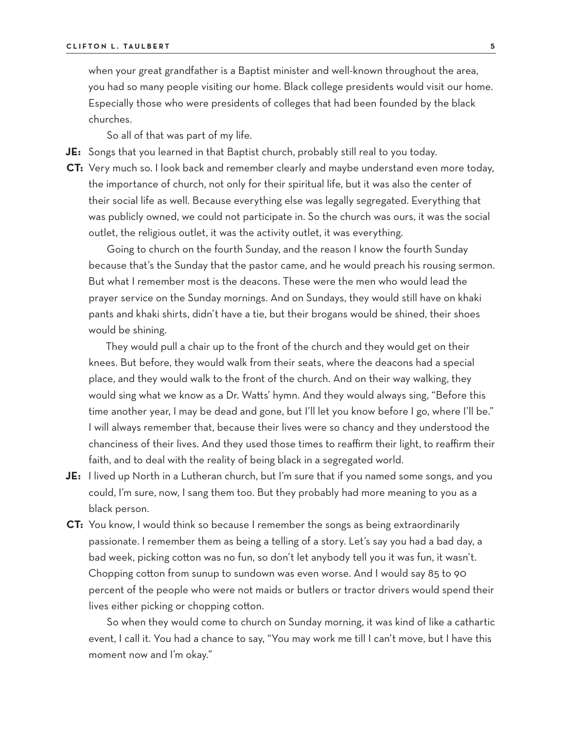when your great grandfather is a Baptist minister and well-known throughout the area, you had so many people visiting our home. Black college presidents would visit our home. Especially those who were presidents of colleges that had been founded by the black churches.

So all of that was part of my life.

**JE:** Songs that you learned in that Baptist church, probably still real to you today.

**CT:** Very much so. I look back and remember clearly and maybe understand even more today, the importance of church, not only for their spiritual life, but it was also the center of their social life as well. Because everything else was legally segregated. Everything that was publicly owned, we could not participate in. So the church was ours, it was the social outlet, the religious outlet, it was the activity outlet, it was everything.

Going to church on the fourth Sunday, and the reason I know the fourth Sunday because that's the Sunday that the pastor came, and he would preach his rousing sermon. But what I remember most is the deacons. These were the men who would lead the prayer service on the Sunday mornings. And on Sundays, they would still have on khaki pants and khaki shirts, didn't have a tie, but their brogans would be shined, their shoes would be shining.

They would pull a chair up to the front of the church and they would get on their knees. But before, they would walk from their seats, where the deacons had a special place, and they would walk to the front of the church. And on their way walking, they would sing what we know as a Dr. Watts' hymn. And they would always sing, "Before this time another year, I may be dead and gone, but I'll let you know before I go, where I'll be." I will always remember that, because their lives were so chancy and they understood the chanciness of their lives. And they used those times to reaffirm their light, to reaffirm their faith, and to deal with the reality of being black in a segregated world.

- **JE:** I lived up North in a Lutheran church, but I'm sure that if you named some songs, and you could, I'm sure, now, I sang them too. But they probably had more meaning to you as a black person.
- **CT:** You know, I would think so because I remember the songs as being extraordinarily passionate. I remember them as being a telling of a story. Let's say you had a bad day, a bad week, picking cotton was no fun, so don't let anybody tell you it was fun, it wasn't. Chopping cotton from sunup to sundown was even worse. And I would say 85 to 90 percent of the people who were not maids or butlers or tractor drivers would spend their lives either picking or chopping cotton.

So when they would come to church on Sunday morning, it was kind of like a cathartic event, I call it. You had a chance to say, "You may work me till I can't move, but I have this moment now and I'm okay."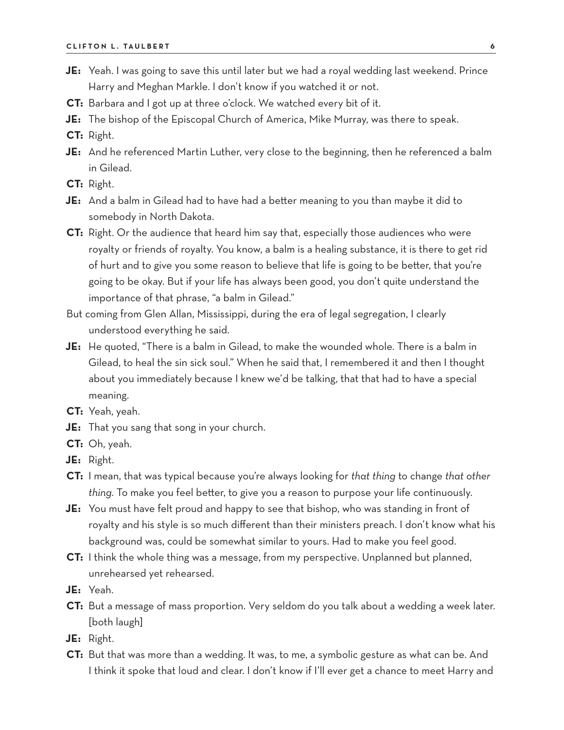- **JE:** Yeah. I was going to save this until later but we had a royal wedding last weekend. Prince Harry and Meghan Markle. I don't know if you watched it or not.
- **CT:** Barbara and I got up at three o'clock. We watched every bit of it.
- **JE:** The bishop of the Episcopal Church of America, Mike Murray, was there to speak.
- **CT:** Right.
- **JE:** And he referenced Martin Luther, very close to the beginning, then he referenced a balm in Gilead.
- **CT:** Right.
- **JE:** And a balm in Gilead had to have had a better meaning to you than maybe it did to somebody in North Dakota.
- **CT:** Right. Or the audience that heard him say that, especially those audiences who were royalty or friends of royalty. You know, a balm is a healing substance, it is there to get rid of hurt and to give you some reason to believe that life is going to be better, that you're going to be okay. But if your life has always been good, you don't quite understand the importance of that phrase, "a balm in Gilead."
- But coming from Glen Allan, Mississippi, during the era of legal segregation, I clearly understood everything he said.
- **JE:** He quoted, "There is a balm in Gilead, to make the wounded whole. There is a balm in Gilead, to heal the sin sick soul." When he said that, I remembered it and then I thought about you immediately because I knew we'd be talking, that that had to have a special meaning.
- **CT:** Yeah, yeah.
- **JE:** That you sang that song in your church.
- **CT:** Oh, yeah.
- **JE:** Right.
- **CT:** I mean, that was typical because you're always looking for *that thing* to change *that other thing.* To make you feel better, to give you a reason to purpose your life continuously.
- **JE:** You must have felt proud and happy to see that bishop, who was standing in front of royalty and his style is so much different than their ministers preach. I don't know what his background was, could be somewhat similar to yours. Had to make you feel good.
- **CT:** I think the whole thing was a message, from my perspective. Unplanned but planned, unrehearsed yet rehearsed.
- **JE:** Yeah.
- **CT:** But a message of mass proportion. Very seldom do you talk about a wedding a week later. [both laugh]
- **JE:** Right.
- **CT:** But that was more than a wedding. It was, to me, a symbolic gesture as what can be. And I think it spoke that loud and clear. I don't know if I'll ever get a chance to meet Harry and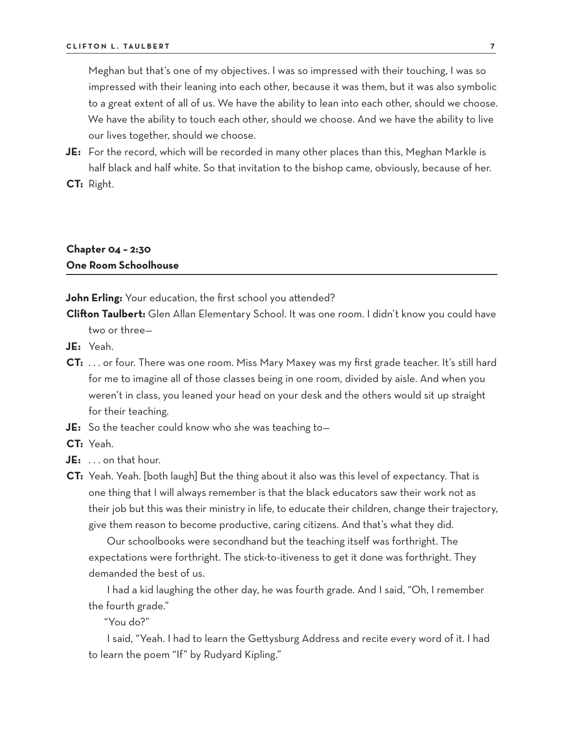Meghan but that's one of my objectives. I was so impressed with their touching, I was so impressed with their leaning into each other, because it was them, but it was also symbolic to a great extent of all of us. We have the ability to lean into each other, should we choose. We have the ability to touch each other, should we choose. And we have the ability to live our lives together, should we choose.

- **JE:** For the record, which will be recorded in many other places than this, Meghan Markle is half black and half white. So that invitation to the bishop came, obviously, because of her.
- **CT:** Right.

# **Chapter 04 – 2:30 One Room Schoolhouse**

**John Erling:** Your education, the first school you attended?

**Clifton Taulbert:** Glen Allan Elementary School. It was one room. I didn't know you could have two or three—

- **JE:** Yeah.
- **CT:** . . . or four. There was one room. Miss Mary Maxey was my first grade teacher. It's still hard for me to imagine all of those classes being in one room, divided by aisle. And when you weren't in class, you leaned your head on your desk and the others would sit up straight for their teaching.
- **JE:** So the teacher could know who she was teaching to—
- **CT:** Yeah.
- **JE:** . . . on that hour.
- **CT:** Yeah. Yeah. [both laugh] But the thing about it also was this level of expectancy. That is one thing that I will always remember is that the black educators saw their work not as their job but this was their ministry in life, to educate their children, change their trajectory, give them reason to become productive, caring citizens. And that's what they did.

Our schoolbooks were secondhand but the teaching itself was forthright. The expectations were forthright. The stick-to-itiveness to get it done was forthright. They demanded the best of us.

I had a kid laughing the other day, he was fourth grade. And I said, "Oh, I remember the fourth grade."

"You do?"

I said, "Yeah. I had to learn the Gettysburg Address and recite every word of it. I had to learn the poem "If" by Rudyard Kipling."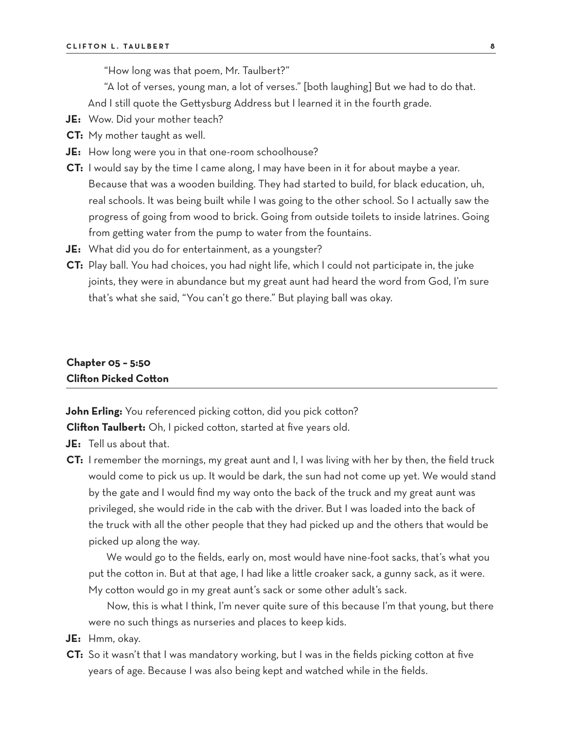"How long was that poem, Mr. Taulbert?"

"A lot of verses, young man, a lot of verses." [both laughing] But we had to do that.

And I still quote the Gettysburg Address but I learned it in the fourth grade.

- **JE:** Wow. Did your mother teach?
- **CT:** My mother taught as well.
- **JE:** How long were you in that one-room schoolhouse?
- **CT:** I would say by the time I came along, I may have been in it for about maybe a year. Because that was a wooden building. They had started to build, for black education, uh, real schools. It was being built while I was going to the other school. So I actually saw the progress of going from wood to brick. Going from outside toilets to inside latrines. Going from getting water from the pump to water from the fountains.
- **JE:** What did you do for entertainment, as a youngster?
- **CT:** Play ball. You had choices, you had night life, which I could not participate in, the juke joints, they were in abundance but my great aunt had heard the word from God, I'm sure that's what she said, "You can't go there." But playing ball was okay.

### **Chapter 05 – 5:50 Clifton Picked Cotton**

**John Erling:** You referenced picking cotton, did you pick cotton?

**Clifton Taulbert:** Oh, I picked cotton, started at five years old.

- **JE:** Tell us about that.
- **CT:** I remember the mornings, my great aunt and I, I was living with her by then, the field truck would come to pick us up. It would be dark, the sun had not come up yet. We would stand by the gate and I would find my way onto the back of the truck and my great aunt was privileged, she would ride in the cab with the driver. But I was loaded into the back of the truck with all the other people that they had picked up and the others that would be picked up along the way.

We would go to the fields, early on, most would have nine-foot sacks, that's what you put the cotton in. But at that age, I had like a little croaker sack, a gunny sack, as it were. My cotton would go in my great aunt's sack or some other adult's sack.

Now, this is what I think, I'm never quite sure of this because I'm that young, but there were no such things as nurseries and places to keep kids.

- **JE:** Hmm, okay.
- **CT:** So it wasn't that I was mandatory working, but I was in the fields picking cotton at five years of age. Because I was also being kept and watched while in the fields.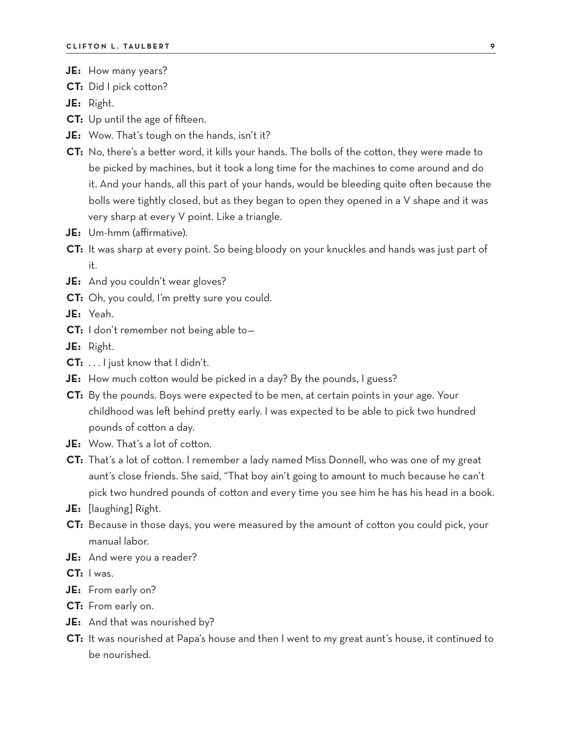- **JE:** How many years?
- **CT:** Did I pick cotton?
- **JE:** Right.
- **CT:** Up until the age of fifteen.
- **JE:** Wow. That's tough on the hands, isn't it?
- **CT:** No, there's a better word, it kills your hands. The bolls of the cotton, they were made to be picked by machines, but it took a long time for the machines to come around and do it. And your hands, all this part of your hands, would be bleeding quite often because the bolls were tightly closed, but as they began to open they opened in a V shape and it was very sharp at every V point. Like a triangle.
- **JE:** Um-hmm (affirmative).
- **CT:** It was sharp at every point. So being bloody on your knuckles and hands was just part of it.
- **JE:** And you couldn't wear gloves?
- **CT:** Oh, you could, I'm pretty sure you could.
- **JE:** Yeah.
- **CT:** I don't remember not being able to—
- **JE:** Right.
- **CT:** . . . I just know that I didn't.
- **JE:** How much cotton would be picked in a day? By the pounds, I guess?
- **CT:** By the pounds. Boys were expected to be men, at certain points in your age. Your childhood was left behind pretty early. I was expected to be able to pick two hundred pounds of cotton a day.
- **JE:** Wow. That's a lot of cotton.
- **CT:** That's a lot of cotton. I remember a lady named Miss Donnell, who was one of my great aunt's close friends. She said, "That boy ain't going to amount to much because he can't pick two hundred pounds of cotton and every time you see him he has his head in a book.
- **JE:** [laughing] Right.
- **CT:** Because in those days, you were measured by the amount of cotton you could pick, your manual labor.
- **JE:** And were you a reader?
- **CT:** I was.
- **JE:** From early on?
- **CT:** From early on.
- **JE:** And that was nourished by?
- **CT:** It was nourished at Papa's house and then I went to my great aunt's house, it continued to be nourished.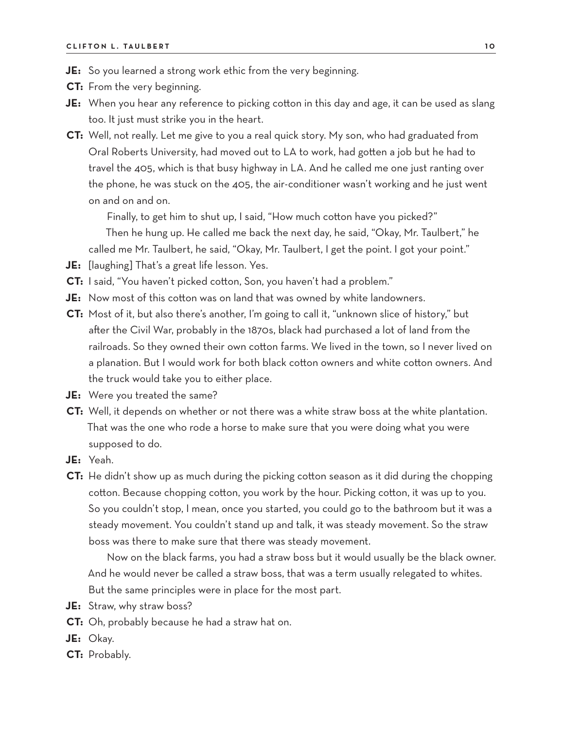- **JE:** So you learned a strong work ethic from the very beginning.
- **CT:** From the very beginning.
- **JE:** When you hear any reference to picking cotton in this day and age, it can be used as slang too. It just must strike you in the heart.
- **CT:** Well, not really. Let me give to you a real quick story. My son, who had graduated from Oral Roberts University, had moved out to LA to work, had gotten a job but he had to travel the 405, which is that busy highway in LA. And he called me one just ranting over the phone, he was stuck on the 405, the air-conditioner wasn't working and he just went on and on and on.

Finally, to get him to shut up, I said, "How much cotton have you picked?"

Then he hung up. He called me back the next day, he said, "Okay, Mr. Taulbert," he called me Mr. Taulbert, he said, "Okay, Mr. Taulbert, I get the point. I got your point."

- **JE:** [laughing] That's a great life lesson. Yes.
- **CT:** I said, "You haven't picked cotton, Son, you haven't had a problem."
- **JE:** Now most of this cotton was on land that was owned by white landowners.
- **CT:** Most of it, but also there's another, I'm going to call it, "unknown slice of history," but after the Civil War, probably in the 1870s, black had purchased a lot of land from the railroads. So they owned their own cotton farms. We lived in the town, so I never lived on a planation. But I would work for both black cotton owners and white cotton owners. And the truck would take you to either place.
- **JE:** Were you treated the same?
- **CT:** Well, it depends on whether or not there was a white straw boss at the white plantation. That was the one who rode a horse to make sure that you were doing what you were supposed to do.
- **JE:** Yeah.
- **CT:** He didn't show up as much during the picking cotton season as it did during the chopping cotton. Because chopping cotton, you work by the hour. Picking cotton, it was up to you. So you couldn't stop, I mean, once you started, you could go to the bathroom but it was a steady movement. You couldn't stand up and talk, it was steady movement. So the straw boss was there to make sure that there was steady movement.

Now on the black farms, you had a straw boss but it would usually be the black owner. And he would never be called a straw boss, that was a term usually relegated to whites. But the same principles were in place for the most part.

- **JE:** Straw, why straw boss?
- **CT:** Oh, probably because he had a straw hat on.
- **JE:** Okay.
- **CT:** Probably.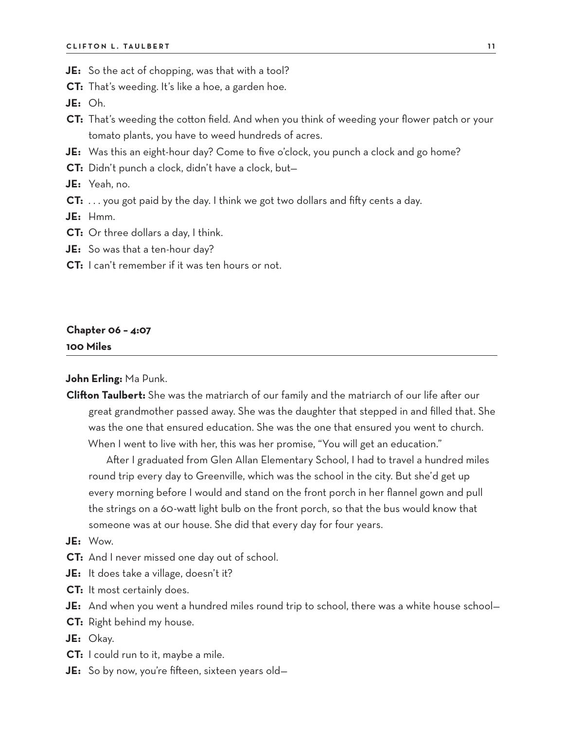- **JE:** So the act of chopping, was that with a tool?
- **CT:** That's weeding. It's like a hoe, a garden hoe.

**JE:** Oh.

- **CT:** That's weeding the cotton field. And when you think of weeding your flower patch or your tomato plants, you have to weed hundreds of acres.
- **JE:** Was this an eight-hour day? Come to five o'clock, you punch a clock and go home?
- **CT:** Didn't punch a clock, didn't have a clock, but—

**JE:** Yeah, no.

**CT:** . . . you got paid by the day. I think we got two dollars and fifty cents a day.

**JE:** Hmm.

- **CT:** Or three dollars a day, I think.
- **JE:** So was that a ten-hour day?
- **CT:** I can't remember if it was ten hours or not.

### **Chapter 06 – 4:07 100 Miles**

**John Erling:** Ma Punk.

**Clifton Taulbert:** She was the matriarch of our family and the matriarch of our life after our great grandmother passed away. She was the daughter that stepped in and filled that. She was the one that ensured education. She was the one that ensured you went to church. When I went to live with her, this was her promise, "You will get an education."

After I graduated from Glen Allan Elementary School, I had to travel a hundred miles round trip every day to Greenville, which was the school in the city. But she'd get up every morning before I would and stand on the front porch in her flannel gown and pull the strings on a 60-watt light bulb on the front porch, so that the bus would know that someone was at our house. She did that every day for four years.

#### **JE:** Wow.

- **CT:** And I never missed one day out of school.
- **JE:** It does take a village, doesn't it?
- **CT:** It most certainly does.
- **JE:** And when you went a hundred miles round trip to school, there was a white house school—
- **CT:** Right behind my house.

**JE:** Okay.

- **CT:** I could run to it, maybe a mile.
- **JE:** So by now, you're fifteen, sixteen years old—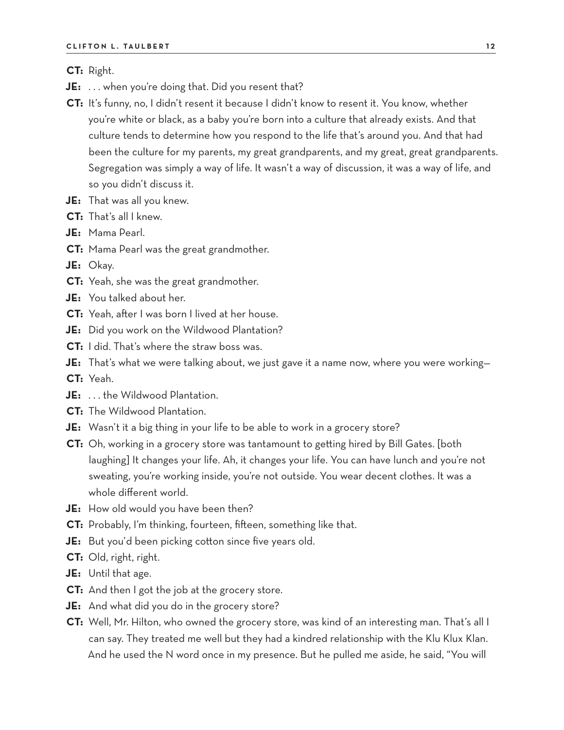**CT:** Right.

- **JE:** . . . when you're doing that. Did you resent that?
- **CT:** It's funny, no, I didn't resent it because I didn't know to resent it. You know, whether you're white or black, as a baby you're born into a culture that already exists. And that culture tends to determine how you respond to the life that's around you. And that had been the culture for my parents, my great grandparents, and my great, great grandparents. Segregation was simply a way of life. It wasn't a way of discussion, it was a way of life, and so you didn't discuss it.
- **JE:** That was all you knew.
- **CT:** That's all I knew.
- **JE:** Mama Pearl.
- **CT:** Mama Pearl was the great grandmother.
- **JE:** Okay.
- **CT:** Yeah, she was the great grandmother.
- **JE:** You talked about her.
- **CT:** Yeah, after I was born I lived at her house.
- **JE:** Did you work on the Wildwood Plantation?
- **CT:** I did. That's where the straw boss was.
- **JE:** That's what we were talking about, we just gave it a name now, where you were working—
- **CT:** Yeah.
- **JE:** . . . the Wildwood Plantation.
- **CT:** The Wildwood Plantation.
- **JE:** Wasn't it a big thing in your life to be able to work in a grocery store?
- **CT:** Oh, working in a grocery store was tantamount to getting hired by Bill Gates. [both laughing] It changes your life. Ah, it changes your life. You can have lunch and you're not sweating, you're working inside, you're not outside. You wear decent clothes. It was a whole different world.
- **JE:** How old would you have been then?
- **CT:** Probably, I'm thinking, fourteen, fifteen, something like that.
- **JE:** But you'd been picking cotton since five years old.
- **CT:** Old, right, right.
- **JE:** Until that age.
- **CT:** And then I got the job at the grocery store.
- **JE:** And what did you do in the grocery store?
- **CT:** Well, Mr. Hilton, who owned the grocery store, was kind of an interesting man. That's all I can say. They treated me well but they had a kindred relationship with the Klu Klux Klan. And he used the N word once in my presence. But he pulled me aside, he said, "You will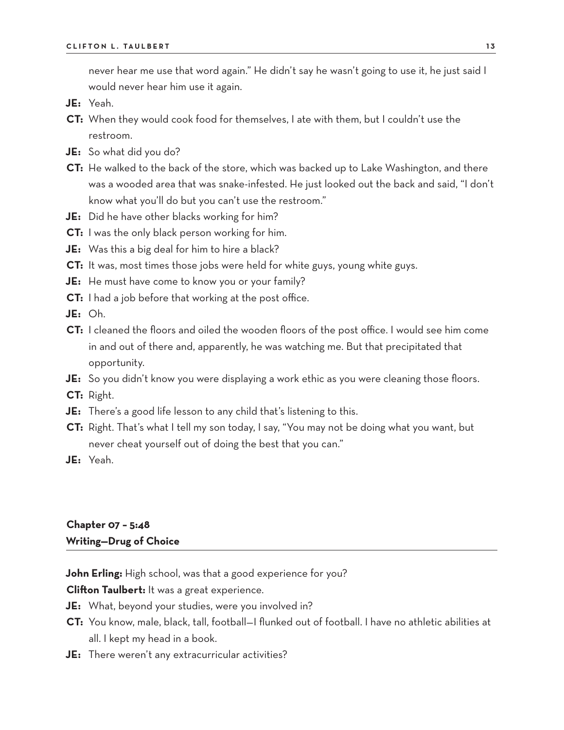never hear me use that word again." He didn't say he wasn't going to use it, he just said I would never hear him use it again.

- **JE:** Yeah.
- **CT:** When they would cook food for themselves, I ate with them, but I couldn't use the restroom.
- **JE:** So what did you do?
- **CT:** He walked to the back of the store, which was backed up to Lake Washington, and there was a wooded area that was snake-infested. He just looked out the back and said, "I don't know what you'll do but you can't use the restroom."
- **JE:** Did he have other blacks working for him?
- **CT:** I was the only black person working for him.
- **JE:** Was this a big deal for him to hire a black?
- **CT:** It was, most times those jobs were held for white guys, young white guys.
- **JE:** He must have come to know you or your family?
- **CT:** I had a job before that working at the post office.
- **JE:** Oh.
- **CT:** I cleaned the floors and oiled the wooden floors of the post office. I would see him come in and out of there and, apparently, he was watching me. But that precipitated that opportunity.
- **JE:** So you didn't know you were displaying a work ethic as you were cleaning those floors.
- **CT:** Right.
- **JE:** There's a good life lesson to any child that's listening to this.
- **CT:** Right. That's what I tell my son today, I say, "You may not be doing what you want, but never cheat yourself out of doing the best that you can."
- **JE:** Yeah.

### **Chapter 07 – 5:48 Writing—Drug of Choice**

**John Erling:** High school, was that a good experience for you?

**Clifton Taulbert:** It was a great experience.

- **JE:** What, beyond your studies, were you involved in?
- **CT:** You know, male, black, tall, football—I flunked out of football. I have no athletic abilities at all. I kept my head in a book.
- **JE:** There weren't any extracurricular activities?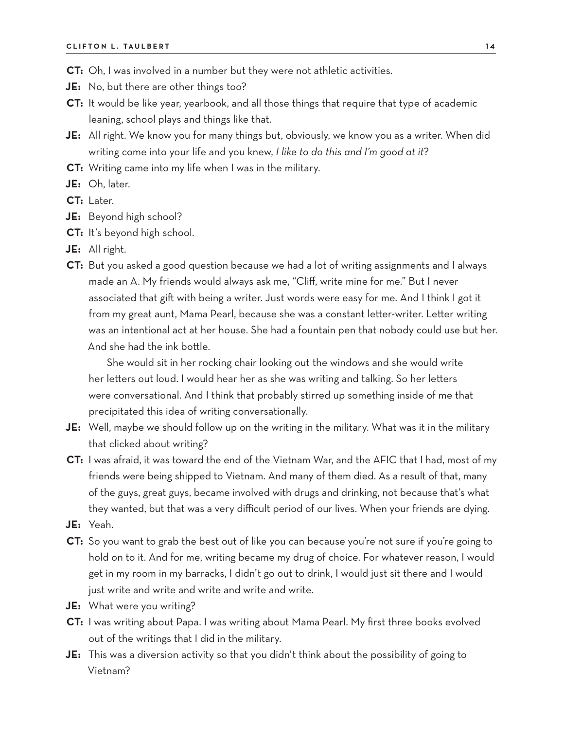- **CT:** Oh, I was involved in a number but they were not athletic activities.
- **JE:** No, but there are other things too?
- **CT:** It would be like year, yearbook, and all those things that require that type of academic leaning, school plays and things like that.
- **JE:** All right. We know you for many things but, obviously, we know you as a writer. When did writing come into your life and you knew, *I like to do this and I'm good at it*?
- **CT:** Writing came into my life when I was in the military.
- **JE:** Oh, later.
- **CT:** Later.
- **JE:** Beyond high school?
- **CT:** It's beyond high school.
- **JE:** All right.
- **CT:** But you asked a good question because we had a lot of writing assignments and I always made an A. My friends would always ask me, "Cliff, write mine for me." But I never associated that gift with being a writer. Just words were easy for me. And I think I got it from my great aunt, Mama Pearl, because she was a constant letter-writer. Letter writing was an intentional act at her house. She had a fountain pen that nobody could use but her. And she had the ink bottle.

She would sit in her rocking chair looking out the windows and she would write her letters out loud. I would hear her as she was writing and talking. So her letters were conversational. And I think that probably stirred up something inside of me that precipitated this idea of writing conversationally.

- **JE:** Well, maybe we should follow up on the writing in the military. What was it in the military that clicked about writing?
- **CT:** I was afraid, it was toward the end of the Vietnam War, and the AFIC that I had, most of my friends were being shipped to Vietnam. And many of them died. As a result of that, many of the guys, great guys, became involved with drugs and drinking, not because that's what they wanted, but that was a very difficult period of our lives. When your friends are dying.
- **JE:** Yeah.
- **CT:** So you want to grab the best out of like you can because you're not sure if you're going to hold on to it. And for me, writing became my drug of choice. For whatever reason, I would get in my room in my barracks, I didn't go out to drink, I would just sit there and I would just write and write and write and write and write.
- **JE:** What were you writing?
- **CT:** I was writing about Papa. I was writing about Mama Pearl. My first three books evolved out of the writings that I did in the military.
- **JE:** This was a diversion activity so that you didn't think about the possibility of going to Vietnam?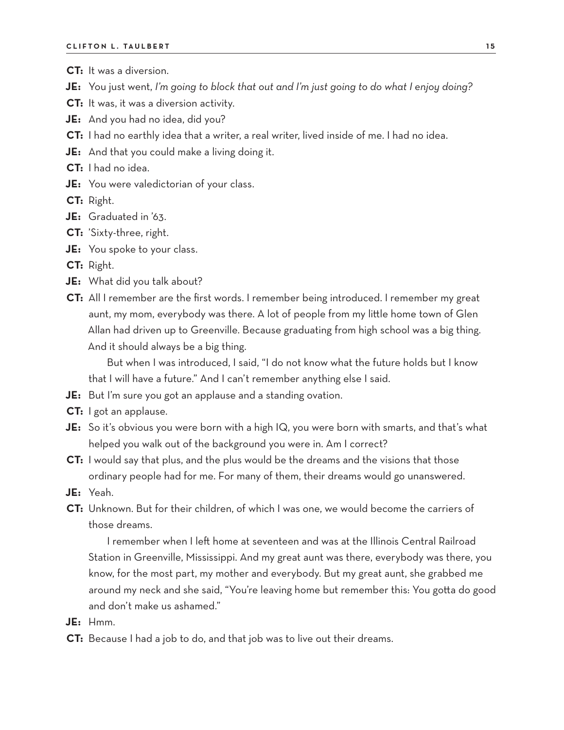- **CT:** It was a diversion.
- **JE:** You just went, *I'm going to block that out and I'm just going to do what I enjoy doing?*
- **CT:** It was, it was a diversion activity.
- **JE:** And you had no idea, did you?
- **CT:** I had no earthly idea that a writer, a real writer, lived inside of me. I had no idea.
- **JE:** And that you could make a living doing it.
- **CT:** I had no idea.
- **JE:** You were valedictorian of your class.
- **CT:** Right.
- **JE:** Graduated in '63.
- **CT:** 'Sixty-three, right.
- **JE:** You spoke to your class.
- **CT:** Right.
- **JE:** What did you talk about?
- **CT:** All I remember are the first words. I remember being introduced. I remember my great aunt, my mom, everybody was there. A lot of people from my little home town of Glen Allan had driven up to Greenville. Because graduating from high school was a big thing. And it should always be a big thing.

But when I was introduced, I said, "I do not know what the future holds but I know that I will have a future." And I can't remember anything else I said.

- **JE:** But I'm sure you got an applause and a standing ovation.
- **CT:** I got an applause.
- **JE:** So it's obvious you were born with a high IQ, you were born with smarts, and that's what helped you walk out of the background you were in. Am I correct?
- **CT:** I would say that plus, and the plus would be the dreams and the visions that those ordinary people had for me. For many of them, their dreams would go unanswered.
- **JE:** Yeah.
- **CT:** Unknown. But for their children, of which I was one, we would become the carriers of those dreams.

I remember when I left home at seventeen and was at the Illinois Central Railroad Station in Greenville, Mississippi. And my great aunt was there, everybody was there, you know, for the most part, my mother and everybody. But my great aunt, she grabbed me around my neck and she said, "You're leaving home but remember this: You gotta do good and don't make us ashamed."

- **JE:** Hmm.
- **CT:** Because I had a job to do, and that job was to live out their dreams.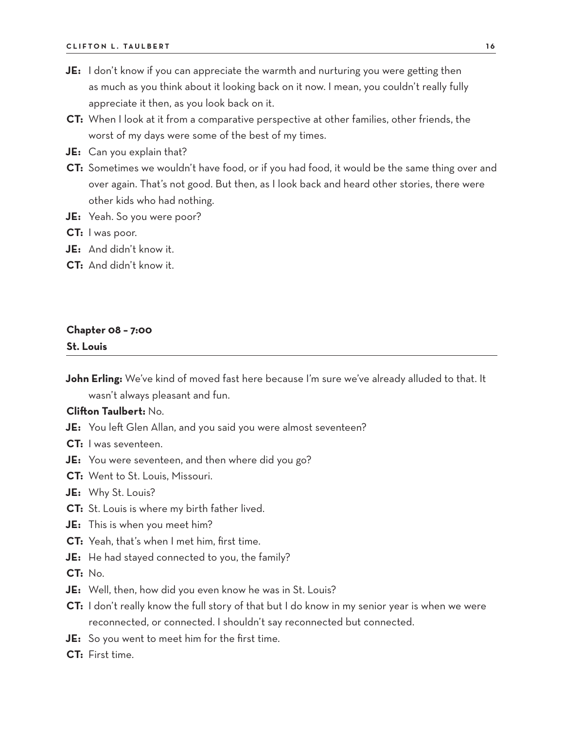- **JE:** I don't know if you can appreciate the warmth and nurturing you were getting then as much as you think about it looking back on it now. I mean, you couldn't really fully appreciate it then, as you look back on it.
- **CT:** When I look at it from a comparative perspective at other families, other friends, the worst of my days were some of the best of my times.
- **JE:** Can you explain that?
- **CT:** Sometimes we wouldn't have food, or if you had food, it would be the same thing over and over again. That's not good. But then, as I look back and heard other stories, there were other kids who had nothing.
- **JE:** Yeah. So you were poor?
- **CT:** I was poor.
- **JE:** And didn't know it.
- **CT:** And didn't know it.

### **Chapter 08 – 7:00**

**St. Louis**

**John Erling:** We've kind of moved fast here because I'm sure we've already alluded to that. It wasn't always pleasant and fun.

### **Clifton Taulbert:** No.

- **JE:** You left Glen Allan, and you said you were almost seventeen?
- **CT:** I was seventeen.
- **JE:** You were seventeen, and then where did you go?
- **CT:** Went to St. Louis, Missouri.
- **JE:** Why St. Louis?
- **CT:** St. Louis is where my birth father lived.
- **JE:** This is when you meet him?
- **CT:** Yeah, that's when I met him, first time.
- **JE:** He had stayed connected to you, the family?

**CT:** No.

- **JE:** Well, then, how did you even know he was in St. Louis?
- **CT:** I don't really know the full story of that but I do know in my senior year is when we were reconnected, or connected. I shouldn't say reconnected but connected.
- **JE:** So you went to meet him for the first time.
- **CT:** First time.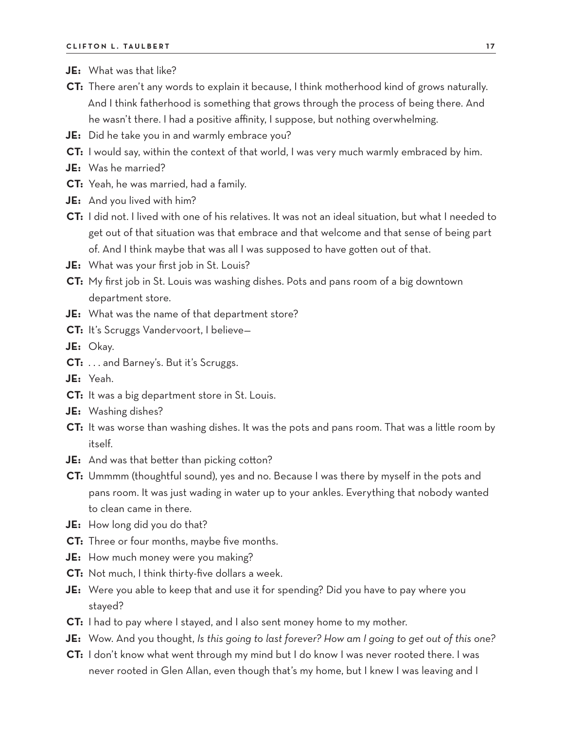- **JE:** What was that like?
- **CT:** There aren't any words to explain it because, I think motherhood kind of grows naturally. And I think fatherhood is something that grows through the process of being there. And he wasn't there. I had a positive affinity, I suppose, but nothing overwhelming.
- **JE:** Did he take you in and warmly embrace you?
- **CT:** I would say, within the context of that world, I was very much warmly embraced by him.
- **JE:** Was he married?
- **CT:** Yeah, he was married, had a family.
- **JE:** And you lived with him?
- **CT:** I did not. I lived with one of his relatives. It was not an ideal situation, but what I needed to get out of that situation was that embrace and that welcome and that sense of being part of. And I think maybe that was all I was supposed to have gotten out of that.
- **JE:** What was your first job in St. Louis?
- **CT:** My first job in St. Louis was washing dishes. Pots and pans room of a big downtown department store.
- **JE:** What was the name of that department store?
- **CT:** It's Scruggs Vandervoort, I believe—

**JE:** Okay.

- **CT:** . . . and Barney's. But it's Scruggs.
- **JE:** Yeah.
- **CT:** It was a big department store in St. Louis.
- **JE:** Washing dishes?
- **CT:** It was worse than washing dishes. It was the pots and pans room. That was a little room by itself.
- **JE:** And was that better than picking cotton?
- **CT:** Ummmm (thoughtful sound), yes and no. Because I was there by myself in the pots and pans room. It was just wading in water up to your ankles. Everything that nobody wanted to clean came in there.
- **JE:** How long did you do that?
- **CT:** Three or four months, maybe five months.
- **JE:** How much money were you making?
- **CT:** Not much, I think thirty-five dollars a week.
- **JE:** Were you able to keep that and use it for spending? Did you have to pay where you stayed?
- **CT:** I had to pay where I stayed, and I also sent money home to my mother.
- **JE:** Wow. And you thought, *Is this going to last forever? How am I going to get out of this one?*
- **CT:** I don't know what went through my mind but I do know I was never rooted there. I was never rooted in Glen Allan, even though that's my home, but I knew I was leaving and I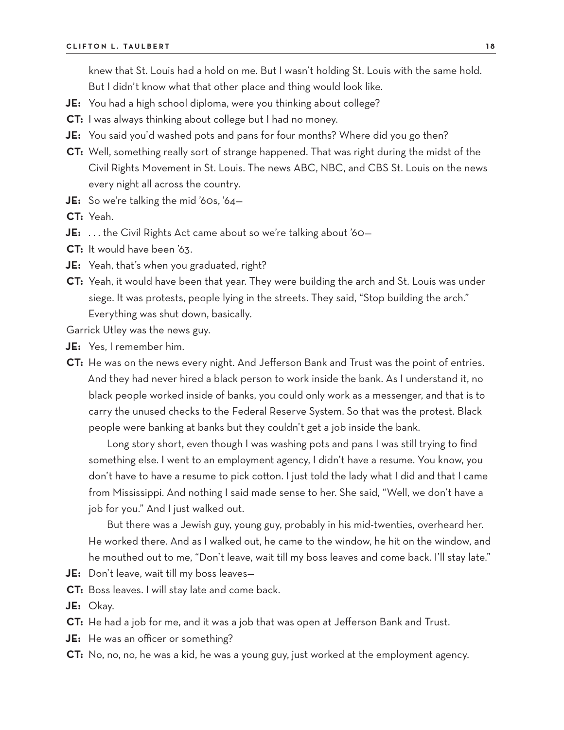knew that St. Louis had a hold on me. But I wasn't holding St. Louis with the same hold. But I didn't know what that other place and thing would look like.

- **JE:** You had a high school diploma, were you thinking about college?
- **CT:** I was always thinking about college but I had no money.
- **JE:** You said you'd washed pots and pans for four months? Where did you go then?
- **CT:** Well, something really sort of strange happened. That was right during the midst of the Civil Rights Movement in St. Louis. The news ABC, NBC, and CBS St. Louis on the news every night all across the country.
- **JE:** So we're talking the mid '60s, '64—
- **CT:** Yeah.
- **JE:** ... the Civil Rights Act came about so we're talking about '60-
- **CT:** It would have been '63.
- **JE:** Yeah, that's when you graduated, right?
- **CT:** Yeah, it would have been that year. They were building the arch and St. Louis was under siege. It was protests, people lying in the streets. They said, "Stop building the arch." Everything was shut down, basically.

Garrick Utley was the news guy.

- **JE:** Yes, I remember him.
- **CT:** He was on the news every night. And Jefferson Bank and Trust was the point of entries. And they had never hired a black person to work inside the bank. As I understand it, no black people worked inside of banks, you could only work as a messenger, and that is to carry the unused checks to the Federal Reserve System. So that was the protest. Black people were banking at banks but they couldn't get a job inside the bank.

Long story short, even though I was washing pots and pans I was still trying to find something else. I went to an employment agency, I didn't have a resume. You know, you don't have to have a resume to pick cotton. I just told the lady what I did and that I came from Mississippi. And nothing I said made sense to her. She said, "Well, we don't have a job for you." And I just walked out.

But there was a Jewish guy, young guy, probably in his mid-twenties, overheard her. He worked there. And as I walked out, he came to the window, he hit on the window, and he mouthed out to me, "Don't leave, wait till my boss leaves and come back. I'll stay late."

- **JE:** Don't leave, wait till my boss leaves—
- **CT:** Boss leaves. I will stay late and come back.
- **JE:** Okay.
- **CT:** He had a job for me, and it was a job that was open at Jefferson Bank and Trust.
- **JE:** He was an officer or something?
- **CT:** No, no, no, he was a kid, he was a young guy, just worked at the employment agency.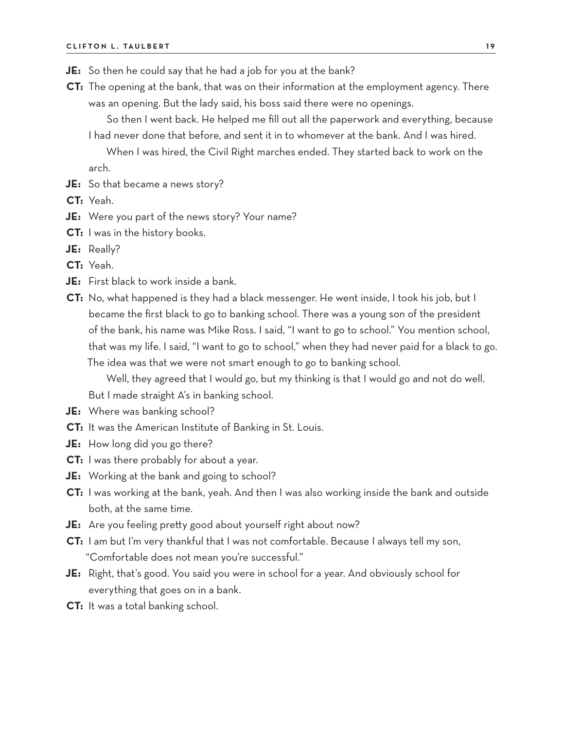- **JE:** So then he could say that he had a job for you at the bank?
- **CT:** The opening at the bank, that was on their information at the employment agency. There was an opening. But the lady said, his boss said there were no openings.

So then I went back. He helped me fill out all the paperwork and everything, because I had never done that before, and sent it in to whomever at the bank. And I was hired.

When I was hired, the Civil Right marches ended. They started back to work on the arch.

- **JE:** So that became a news story?
- **CT:** Yeah.
- **JE:** Were you part of the news story? Your name?
- **CT:** I was in the history books.
- **JE:** Really?
- **CT:** Yeah.
- **JE:** First black to work inside a bank.
- **CT:** No, what happened is they had a black messenger. He went inside, I took his job, but I became the first black to go to banking school. There was a young son of the president of the bank, his name was Mike Ross. I said, "I want to go to school." You mention school, that was my life. I said, "I want to go to school," when they had never paid for a black to go. The idea was that we were not smart enough to go to banking school.

Well, they agreed that I would go, but my thinking is that I would go and not do well.

But I made straight A's in banking school.

- **JE:** Where was banking school?
- **CT:** It was the American Institute of Banking in St. Louis.
- **JE:** How long did you go there?
- **CT:** I was there probably for about a year.
- **JE:** Working at the bank and going to school?
- **CT:** I was working at the bank, yeah. And then I was also working inside the bank and outside both, at the same time.
- **JE:** Are you feeling pretty good about yourself right about now?
- **CT:** I am but I'm very thankful that I was not comfortable. Because I always tell my son, "Comfortable does not mean you're successful."
- **JE:** Right, that's good. You said you were in school for a year. And obviously school for everything that goes on in a bank.
- **CT:** It was a total banking school.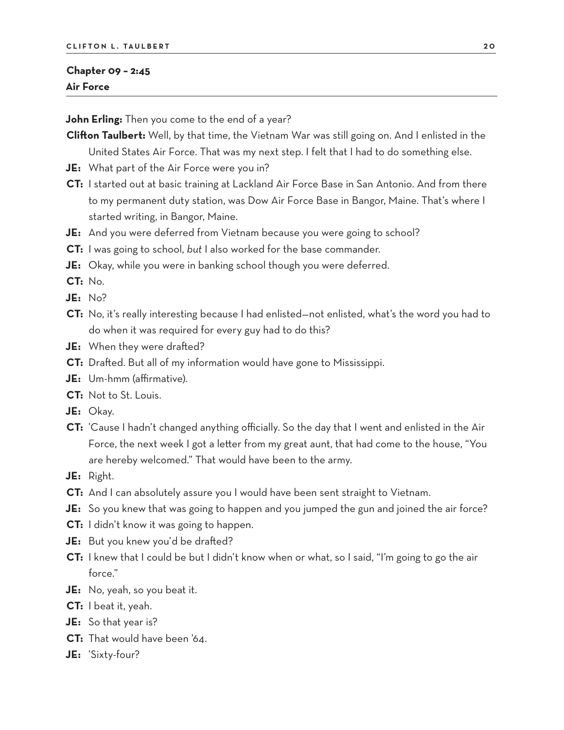### **Chapter 09 – 2:45 Air Force**

**John Erling:** Then you come to the end of a year?

**Clifton Taulbert:** Well, by that time, the Vietnam War was still going on. And I enlisted in the United States Air Force. That was my next step. I felt that I had to do something else.

- **JE:** What part of the Air Force were you in?
- **CT:** I started out at basic training at Lackland Air Force Base in San Antonio. And from there to my permanent duty station, was Dow Air Force Base in Bangor, Maine. That's where I started writing, in Bangor, Maine.
- **JE:** And you were deferred from Vietnam because you were going to school?
- **CT:** I was going to school, *but* I also worked for the base commander.
- **JE:** Okay, while you were in banking school though you were deferred.

**CT:** No.

- **JE:** No?
- **CT:** No, it's really interesting because I had enlisted—not enlisted, what's the word you had to do when it was required for every guy had to do this?
- **JE:** When they were drafted?
- **CT:** Drafted. But all of my information would have gone to Mississippi.
- **JE:** Um-hmm (affirmative).
- **CT:** Not to St. Louis.
- **JE:** Okay.
- **CT:** 'Cause I hadn't changed anything officially. So the day that I went and enlisted in the Air Force, the next week I got a letter from my great aunt, that had come to the house, "You are hereby welcomed." That would have been to the army.

**JE:** Right.

- **CT:** And I can absolutely assure you I would have been sent straight to Vietnam.
- **JE:** So you knew that was going to happen and you jumped the gun and joined the air force?
- **CT:** I didn't know it was going to happen.
- **JE:** But you knew you'd be drafted?
- **CT:** I knew that I could be but I didn't know when or what, so I said, "I'm going to go the air force."
- **JE:** No, yeah, so you beat it.
- **CT:** I beat it, yeah.
- **JE:** So that year is?
- **CT:** That would have been '64.
- **JE:** 'Sixty-four?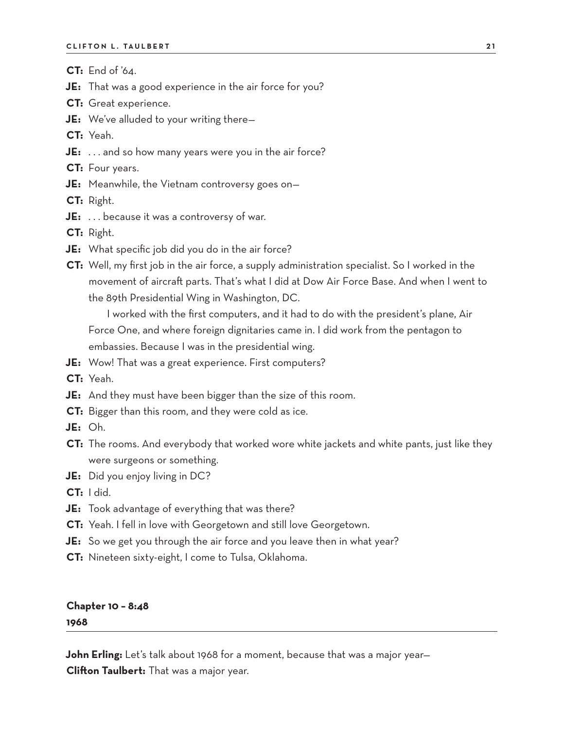**CT:** End of '64.

- **JE:** That was a good experience in the air force for you?
- **CT:** Great experience.
- **JE:** We've alluded to your writing there—

**CT:** Yeah.

- **JE:** . . . and so how many years were you in the air force?
- **CT:** Four years.
- **JE:** Meanwhile, the Vietnam controversy goes on—

**CT:** Right.

**JE:** ... because it was a controversy of war.

**CT:** Right.

- **JE:** What specific job did you do in the air force?
- **CT:** Well, my first job in the air force, a supply administration specialist. So I worked in the movement of aircraft parts. That's what I did at Dow Air Force Base. And when I went to the 89th Presidential Wing in Washington, DC.

I worked with the first computers, and it had to do with the president's plane, Air Force One, and where foreign dignitaries came in. I did work from the pentagon to embassies. Because I was in the presidential wing.

- **JE:** Wow! That was a great experience. First computers?
- **CT:** Yeah.
- **JE:** And they must have been bigger than the size of this room.
- **CT:** Bigger than this room, and they were cold as ice.
- **JE:** Oh.
- **CT:** The rooms. And everybody that worked wore white jackets and white pants, just like they were surgeons or something.
- **JE:** Did you enjoy living in DC?
- **CT:** I did.
- **JE:** Took advantage of everything that was there?
- **CT:** Yeah. I fell in love with Georgetown and still love Georgetown.
- **JE:** So we get you through the air force and you leave then in what year?
- **CT:** Nineteen sixty-eight, I come to Tulsa, Oklahoma.

# **Chapter 10 – 8:48**

**1968**

**John Erling:** Let's talk about 1968 for a moment, because that was a major year— **Clifton Taulbert:** That was a major year.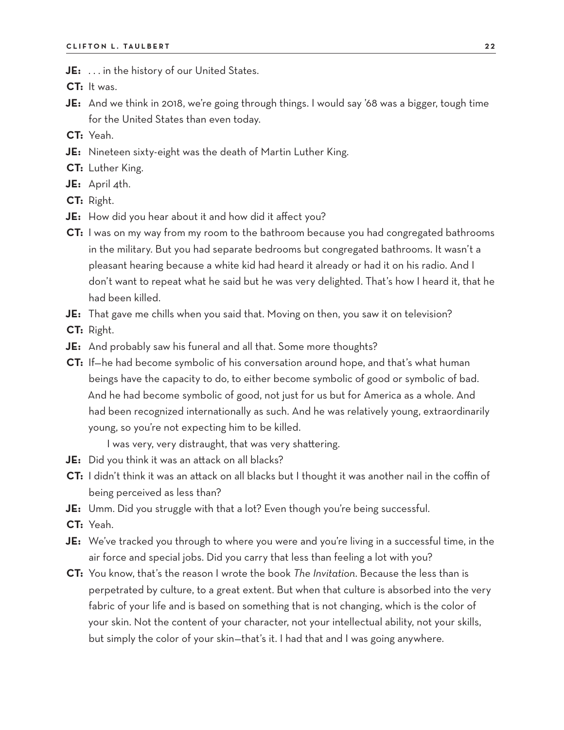- **JE:** . . . in the history of our United States.
- **CT:** It was.
- **JE:** And we think in 2018, we're going through things. I would say '68 was a bigger, tough time for the United States than even today.
- **CT:** Yeah.
- **JE:** Nineteen sixty-eight was the death of Martin Luther King.
- **CT:** Luther King.
- **JE:** April 4th.
- **CT:** Right.
- **JE:** How did you hear about it and how did it affect you?
- **CT:** I was on my way from my room to the bathroom because you had congregated bathrooms in the military. But you had separate bedrooms but congregated bathrooms. It wasn't a pleasant hearing because a white kid had heard it already or had it on his radio. And I don't want to repeat what he said but he was very delighted. That's how I heard it, that he had been killed.
- **JE:** That gave me chills when you said that. Moving on then, you saw it on television?
- **CT:** Right.
- **JE:** And probably saw his funeral and all that. Some more thoughts?
- **CT:** If—he had become symbolic of his conversation around hope, and that's what human beings have the capacity to do, to either become symbolic of good or symbolic of bad. And he had become symbolic of good, not just for us but for America as a whole. And had been recognized internationally as such. And he was relatively young, extraordinarily young, so you're not expecting him to be killed.

I was very, very distraught, that was very shattering.

- **JE:** Did you think it was an attack on all blacks?
- **CT:** I didn't think it was an attack on all blacks but I thought it was another nail in the coffin of being perceived as less than?
- **JE:** Umm. Did you struggle with that a lot? Even though you're being successful.
- **CT:** Yeah.
- **JE:** We've tracked you through to where you were and you're living in a successful time, in the air force and special jobs. Did you carry that less than feeling a lot with you?
- **CT:** You know, that's the reason I wrote the book *The Invitation*. Because the less than is perpetrated by culture, to a great extent. But when that culture is absorbed into the very fabric of your life and is based on something that is not changing, which is the color of your skin. Not the content of your character, not your intellectual ability, not your skills, but simply the color of your skin—that's it. I had that and I was going anywhere.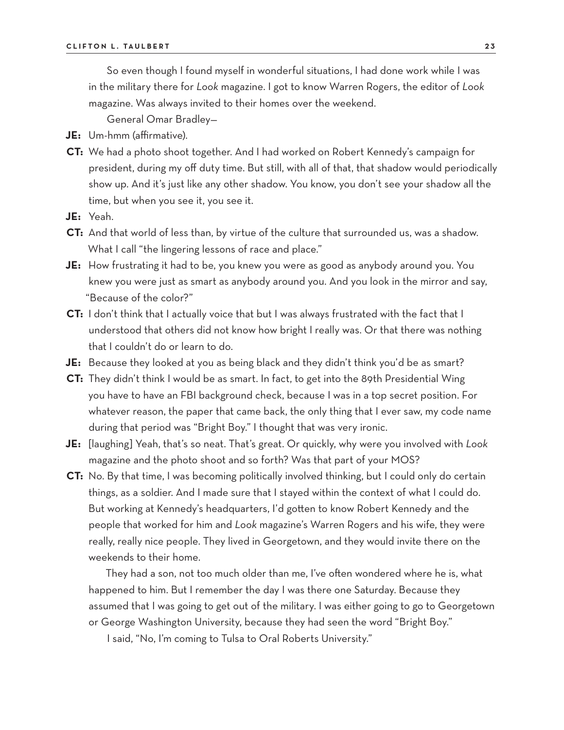So even though I found myself in wonderful situations, I had done work while I was in the military there for *Look* magazine. I got to know Warren Rogers, the editor of *Look* magazine. Was always invited to their homes over the weekend.

General Omar Bradley—

- **JE:** Um-hmm (affirmative).
- **CT:** We had a photo shoot together. And I had worked on Robert Kennedy's campaign for president, during my off duty time. But still, with all of that, that shadow would periodically show up. And it's just like any other shadow. You know, you don't see your shadow all the time, but when you see it, you see it.
- **JE:** Yeah.
- **CT:** And that world of less than, by virtue of the culture that surrounded us, was a shadow. What I call "the lingering lessons of race and place."
- **JE:** How frustrating it had to be, you knew you were as good as anybody around you. You knew you were just as smart as anybody around you. And you look in the mirror and say, "Because of the color?"
- **CT:** I don't think that I actually voice that but I was always frustrated with the fact that I understood that others did not know how bright I really was. Or that there was nothing that I couldn't do or learn to do.
- **JE:** Because they looked at you as being black and they didn't think you'd be as smart?
- **CT:** They didn't think I would be as smart. In fact, to get into the 89th Presidential Wing you have to have an FBI background check, because I was in a top secret position. For whatever reason, the paper that came back, the only thing that I ever saw, my code name during that period was "Bright Boy." I thought that was very ironic.
- **JE:** [laughing] Yeah, that's so neat. That's great. Or quickly, why were you involved with *Look* magazine and the photo shoot and so forth? Was that part of your MOS?
- **CT:** No. By that time, I was becoming politically involved thinking, but I could only do certain things, as a soldier. And I made sure that I stayed within the context of what I could do. But working at Kennedy's headquarters, I'd gotten to know Robert Kennedy and the people that worked for him and *Look* magazine's Warren Rogers and his wife, they were really, really nice people. They lived in Georgetown, and they would invite there on the weekends to their home.

They had a son, not too much older than me, I've often wondered where he is, what happened to him. But I remember the day I was there one Saturday. Because they assumed that I was going to get out of the military. I was either going to go to Georgetown or George Washington University, because they had seen the word "Bright Boy."

I said, "No, I'm coming to Tulsa to Oral Roberts University."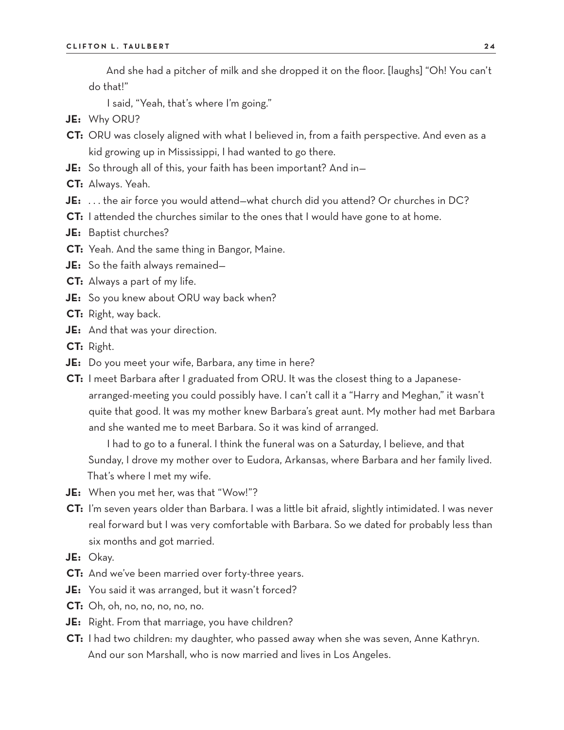And she had a pitcher of milk and she dropped it on the floor. [laughs] "Oh! You can't do that!"

I said, "Yeah, that's where I'm going."

- **JE:** Why ORU?
- **CT:** ORU was closely aligned with what I believed in, from a faith perspective. And even as a kid growing up in Mississippi, I had wanted to go there.
- **JE:** So through all of this, your faith has been important? And in—
- **CT:** Always. Yeah.
- **JE:** . . . the air force you would attend—what church did you attend? Or churches in DC?
- **CT:** I attended the churches similar to the ones that I would have gone to at home.
- **JE:** Baptist churches?
- **CT:** Yeah. And the same thing in Bangor, Maine.
- **JE:** So the faith always remained—
- **CT:** Always a part of my life.
- **JE:** So you knew about ORU way back when?
- **CT:** Right, way back.
- **JE:** And that was your direction.
- **CT:** Right.
- **JE:** Do you meet your wife, Barbara, any time in here?
- **CT:** I meet Barbara after I graduated from ORU. It was the closest thing to a Japanesearranged-meeting you could possibly have. I can't call it a "Harry and Meghan," it wasn't quite that good. It was my mother knew Barbara's great aunt. My mother had met Barbara and she wanted me to meet Barbara. So it was kind of arranged.

I had to go to a funeral. I think the funeral was on a Saturday, I believe, and that Sunday, I drove my mother over to Eudora, Arkansas, where Barbara and her family lived. That's where I met my wife.

- **JE:** When you met her, was that "Wow!"?
- **CT:** I'm seven years older than Barbara. I was a little bit afraid, slightly intimidated. I was never real forward but I was very comfortable with Barbara. So we dated for probably less than six months and got married.
- **JE:** Okay.
- **CT:** And we've been married over forty-three years.
- **JE:** You said it was arranged, but it wasn't forced?
- **CT:** Oh, oh, no, no, no, no, no.
- **JE:** Right. From that marriage, you have children?
- **CT:** I had two children: my daughter, who passed away when she was seven, Anne Kathryn. And our son Marshall, who is now married and lives in Los Angeles.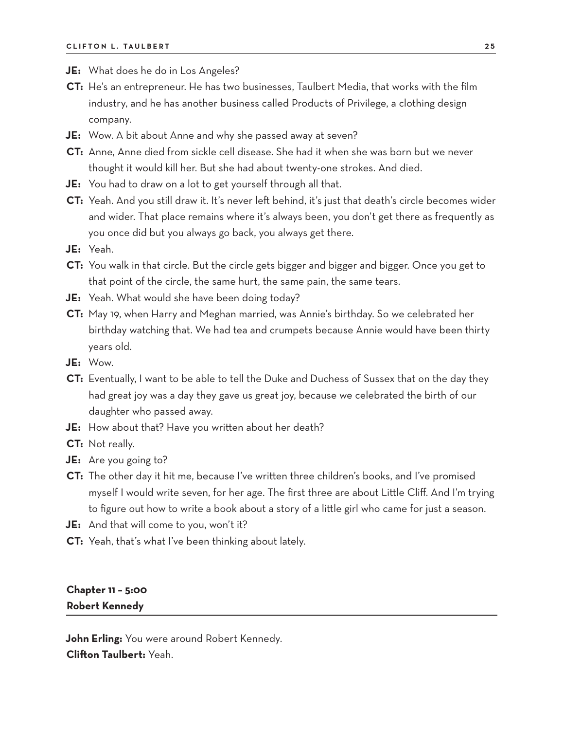- **JE:** What does he do in Los Angeles?
- **CT:** He's an entrepreneur. He has two businesses, Taulbert Media, that works with the film industry, and he has another business called Products of Privilege, a clothing design company.
- **JE:** Wow. A bit about Anne and why she passed away at seven?
- **CT:** Anne, Anne died from sickle cell disease. She had it when she was born but we never thought it would kill her. But she had about twenty-one strokes. And died.
- **JE:** You had to draw on a lot to get yourself through all that.
- **CT:** Yeah. And you still draw it. It's never left behind, it's just that death's circle becomes wider and wider. That place remains where it's always been, you don't get there as frequently as you once did but you always go back, you always get there.
- **JE:** Yeah.
- **CT:** You walk in that circle. But the circle gets bigger and bigger and bigger. Once you get to that point of the circle, the same hurt, the same pain, the same tears.
- **JE:** Yeah. What would she have been doing today?
- **CT:** May 19, when Harry and Meghan married, was Annie's birthday. So we celebrated her birthday watching that. We had tea and crumpets because Annie would have been thirty years old.
- **JE:** Wow.
- **CT:** Eventually, I want to be able to tell the Duke and Duchess of Sussex that on the day they had great joy was a day they gave us great joy, because we celebrated the birth of our daughter who passed away.
- **JE:** How about that? Have you written about her death?
- **CT:** Not really.
- **JE:** Are you going to?
- **CT:** The other day it hit me, because I've written three children's books, and I've promised myself I would write seven, for her age. The first three are about Little Cliff. And I'm trying to figure out how to write a book about a story of a little girl who came for just a season.
- **JE:** And that will come to you, won't it?
- **CT:** Yeah, that's what I've been thinking about lately.

### **Chapter 11 – 5:00 Robert Kennedy**

**John Erling:** You were around Robert Kennedy. **Clifton Taulbert:** Yeah.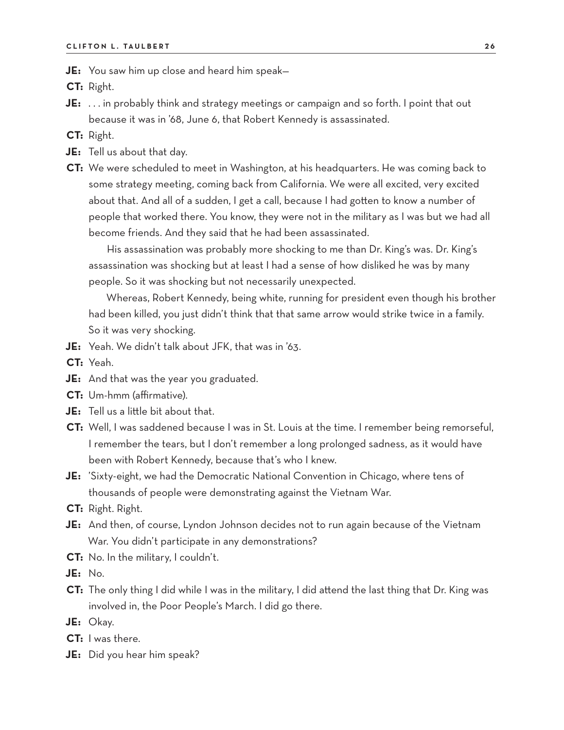**JE:** You saw him up close and heard him speak—

**CT:** Right.

- **JE:** . . . in probably think and strategy meetings or campaign and so forth. I point that out because it was in '68, June 6, that Robert Kennedy is assassinated.
- **CT:** Right.
- **JE:** Tell us about that day.
- **CT:** We were scheduled to meet in Washington, at his headquarters. He was coming back to some strategy meeting, coming back from California. We were all excited, very excited about that. And all of a sudden, I get a call, because I had gotten to know a number of people that worked there. You know, they were not in the military as I was but we had all become friends. And they said that he had been assassinated.

His assassination was probably more shocking to me than Dr. King's was. Dr. King's assassination was shocking but at least I had a sense of how disliked he was by many people. So it was shocking but not necessarily unexpected.

Whereas, Robert Kennedy, being white, running for president even though his brother had been killed, you just didn't think that that same arrow would strike twice in a family. So it was very shocking.

- **JE:** Yeah. We didn't talk about JFK, that was in '63.
- **CT:** Yeah.
- **JE:** And that was the year you graduated.
- **CT:** Um-hmm (affirmative).
- **JE:** Tell us a little bit about that.
- **CT:** Well, I was saddened because I was in St. Louis at the time. I remember being remorseful, I remember the tears, but I don't remember a long prolonged sadness, as it would have been with Robert Kennedy, because that's who I knew.
- **JE:** 'Sixty-eight, we had the Democratic National Convention in Chicago, where tens of thousands of people were demonstrating against the Vietnam War.
- **CT:** Right. Right.
- **JE:** And then, of course, Lyndon Johnson decides not to run again because of the Vietnam War. You didn't participate in any demonstrations?
- **CT:** No. In the military, I couldn't.

**JE:** No.

- **CT:** The only thing I did while I was in the military, I did attend the last thing that Dr. King was involved in, the Poor People's March. I did go there.
- **JE:** Okay.
- **CT:** I was there.
- **JE:** Did you hear him speak?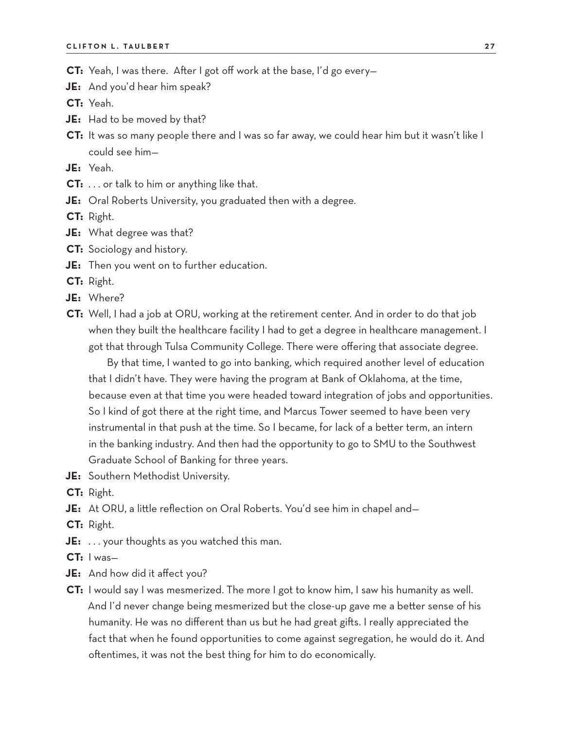- **CT:** Yeah, I was there. After I got off work at the base, I'd go every—
- **JE:** And you'd hear him speak?
- **CT:** Yeah.
- **JE:** Had to be moved by that?
- **CT:** It was so many people there and I was so far away, we could hear him but it wasn't like I could see him—
- **JE:** Yeah.
- **CT:** . . . or talk to him or anything like that.
- **JE:** Oral Roberts University, you graduated then with a degree.
- **CT:** Right.
- **JE:** What degree was that?
- **CT:** Sociology and history.
- **JE:** Then you went on to further education.
- **CT:** Right.
- **JE:** Where?
- **CT:** Well, I had a job at ORU, working at the retirement center. And in order to do that job when they built the healthcare facility I had to get a degree in healthcare management. I got that through Tulsa Community College. There were offering that associate degree.
	- By that time, I wanted to go into banking, which required another level of education that I didn't have. They were having the program at Bank of Oklahoma, at the time, because even at that time you were headed toward integration of jobs and opportunities. So I kind of got there at the right time, and Marcus Tower seemed to have been very instrumental in that push at the time. So I became, for lack of a better term, an intern in the banking industry. And then had the opportunity to go to SMU to the Southwest Graduate School of Banking for three years.
- **JE:** Southern Methodist University.
- **CT:** Right.
- **JE:** At ORU, a little reflection on Oral Roberts. You'd see him in chapel and—
- **CT:** Right.
- **JE:** . . . your thoughts as you watched this man.
- **CT:** I was—
- **JE:** And how did it affect you?
- **CT:** I would say I was mesmerized. The more I got to know him, I saw his humanity as well. And I'd never change being mesmerized but the close-up gave me a better sense of his humanity. He was no different than us but he had great gifts. I really appreciated the fact that when he found opportunities to come against segregation, he would do it. And oftentimes, it was not the best thing for him to do economically.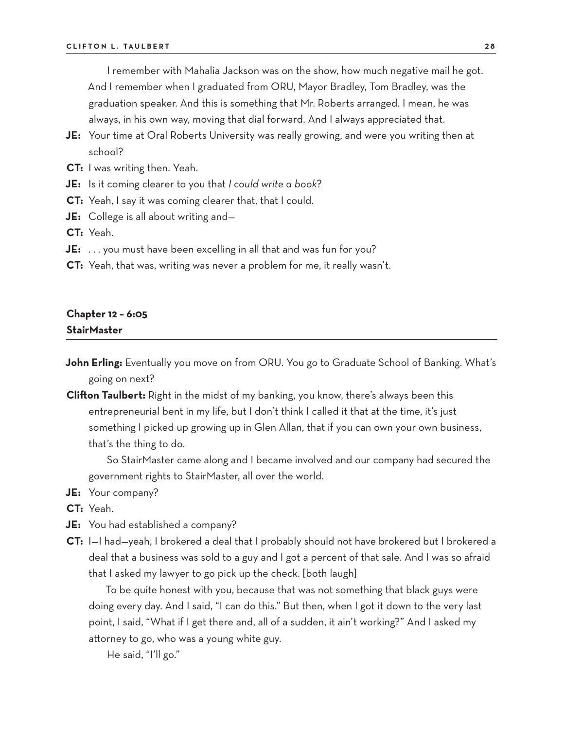I remember with Mahalia Jackson was on the show, how much negative mail he got. And I remember when I graduated from ORU, Mayor Bradley, Tom Bradley, was the graduation speaker. And this is something that Mr. Roberts arranged. I mean, he was always, in his own way, moving that dial forward. And I always appreciated that.

- **JE:** Your time at Oral Roberts University was really growing, and were you writing then at school?
- **CT:** I was writing then. Yeah.
- **JE:** Is it coming clearer to you that *I could write a book*?
- **CT:** Yeah, I say it was coming clearer that, that I could.
- **JE:** College is all about writing and—
- **CT:** Yeah.
- **JE:** ... you must have been excelling in all that and was fun for you?
- **CT:** Yeah, that was, writing was never a problem for me, it really wasn't.

### **Chapter 12 – 6:05 StairMaster**

- **John Erling:** Eventually you move on from ORU. You go to Graduate School of Banking. What's going on next?
- **Clifton Taulbert:** Right in the midst of my banking, you know, there's always been this entrepreneurial bent in my life, but I don't think I called it that at the time, it's just something I picked up growing up in Glen Allan, that if you can own your own business, that's the thing to do.

So StairMaster came along and I became involved and our company had secured the government rights to StairMaster, all over the world.

- **JE:** Your company?
- **CT:** Yeah.
- **JE:** You had established a company?
- **CT:** I—I had—yeah, I brokered a deal that I probably should not have brokered but I brokered a deal that a business was sold to a guy and I got a percent of that sale. And I was so afraid that I asked my lawyer to go pick up the check. [both laugh]

To be quite honest with you, because that was not something that black guys were doing every day. And I said, "I can do this." But then, when I got it down to the very last point, I said, "What if I get there and, all of a sudden, it ain't working?" And I asked my attorney to go, who was a young white guy.

He said, "I'll go."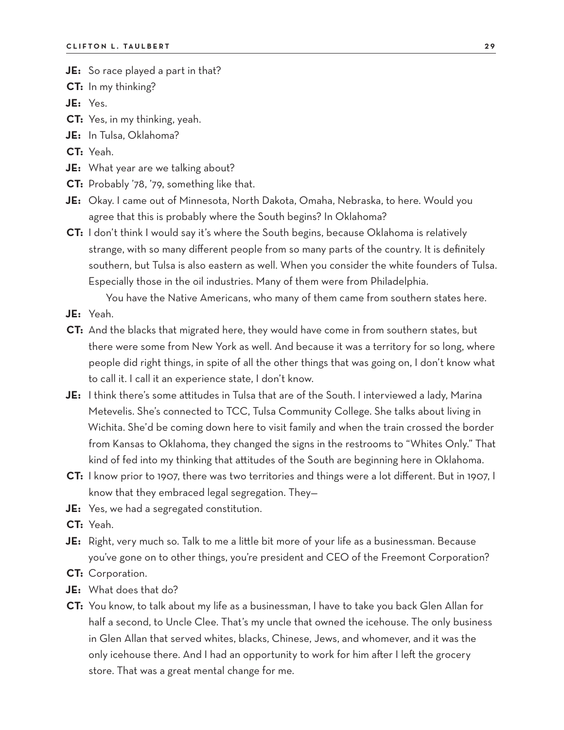**JE:** So race played a part in that?

**CT:** In my thinking?

**JE:** Yes.

- **CT:** Yes, in my thinking, yeah.
- **JE:** In Tulsa, Oklahoma?

**CT:** Yeah.

- **JE:** What year are we talking about?
- **CT:** Probably '78, '79, something like that.
- **JE:** Okay. I came out of Minnesota, North Dakota, Omaha, Nebraska, to here. Would you agree that this is probably where the South begins? In Oklahoma?
- **CT:** I don't think I would say it's where the South begins, because Oklahoma is relatively strange, with so many different people from so many parts of the country. It is definitely southern, but Tulsa is also eastern as well. When you consider the white founders of Tulsa. Especially those in the oil industries. Many of them were from Philadelphia.

You have the Native Americans, who many of them came from southern states here. **JE:** Yeah.

- **CT:** And the blacks that migrated here, they would have come in from southern states, but there were some from New York as well. And because it was a territory for so long, where people did right things, in spite of all the other things that was going on, I don't know what to call it. I call it an experience state, I don't know.
- **JE:** I think there's some attitudes in Tulsa that are of the South. I interviewed a lady, Marina Metevelis. She's connected to TCC, Tulsa Community College. She talks about living in Wichita. She'd be coming down here to visit family and when the train crossed the border from Kansas to Oklahoma, they changed the signs in the restrooms to "Whites Only." That kind of fed into my thinking that attitudes of the South are beginning here in Oklahoma.
- **CT:** I know prior to 1907, there was two territories and things were a lot different. But in 1907, I know that they embraced legal segregation. They—
- **JE:** Yes, we had a segregated constitution.

**CT:** Yeah.

- **JE:** Right, very much so. Talk to me a little bit more of your life as a businessman. Because you've gone on to other things, you're president and CEO of the Freemont Corporation?
- **CT:** Corporation.
- **JE:** What does that do?
- **CT:** You know, to talk about my life as a businessman, I have to take you back Glen Allan for half a second, to Uncle Clee. That's my uncle that owned the icehouse. The only business in Glen Allan that served whites, blacks, Chinese, Jews, and whomever, and it was the only icehouse there. And I had an opportunity to work for him after I left the grocery store. That was a great mental change for me.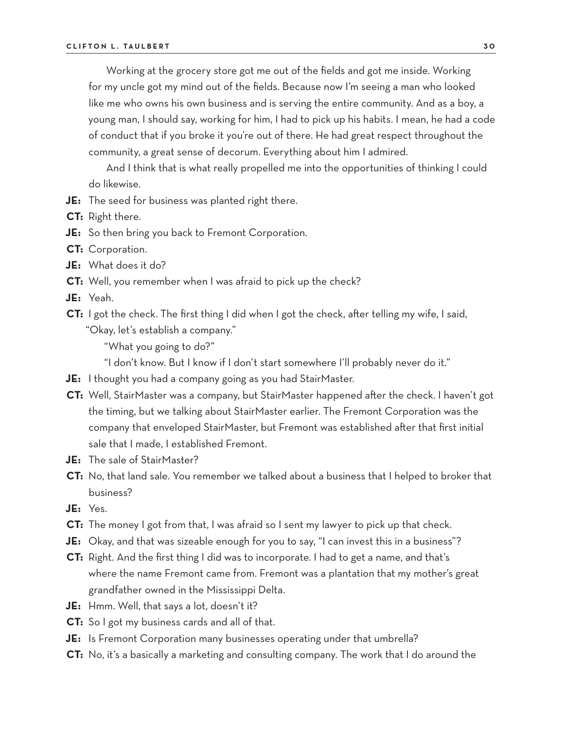Working at the grocery store got me out of the fields and got me inside. Working for my uncle got my mind out of the fields. Because now I'm seeing a man who looked like me who owns his own business and is serving the entire community. And as a boy, a young man, I should say, working for him, I had to pick up his habits. I mean, he had a code of conduct that if you broke it you're out of there. He had great respect throughout the community, a great sense of decorum. Everything about him I admired.

And I think that is what really propelled me into the opportunities of thinking I could do likewise.

- **JE:** The seed for business was planted right there.
- **CT:** Right there.
- **JE:** So then bring you back to Fremont Corporation.
- **CT:** Corporation.
- **JE:** What does it do?
- **CT:** Well, you remember when I was afraid to pick up the check?
- **JE:** Yeah.
- **CT:** I got the check. The first thing I did when I got the check, after telling my wife, I said, "Okay, let's establish a company."

"What you going to do?"

"I don't know. But I know if I don't start somewhere I'll probably never do it."

- **JE:** I thought you had a company going as you had StairMaster.
- **CT:** Well, StairMaster was a company, but StairMaster happened after the check. I haven't got the timing, but we talking about StairMaster earlier. The Fremont Corporation was the company that enveloped StairMaster, but Fremont was established after that first initial sale that I made, I established Fremont.
- **JE:** The sale of StairMaster?
- **CT:** No, that land sale. You remember we talked about a business that I helped to broker that business?
- **JE:** Yes.
- **CT:** The money I got from that, I was afraid so I sent my lawyer to pick up that check.
- **JE:** Okay, and that was sizeable enough for you to say, "I can invest this in a business"?
- **CT:** Right. And the first thing I did was to incorporate. I had to get a name, and that's where the name Fremont came from. Fremont was a plantation that my mother's great grandfather owned in the Mississippi Delta.
- **JE:** Hmm. Well, that says a lot, doesn't it?
- **CT:** So I got my business cards and all of that.
- **JE:** Is Fremont Corporation many businesses operating under that umbrella?
- **CT:** No, it's a basically a marketing and consulting company. The work that I do around the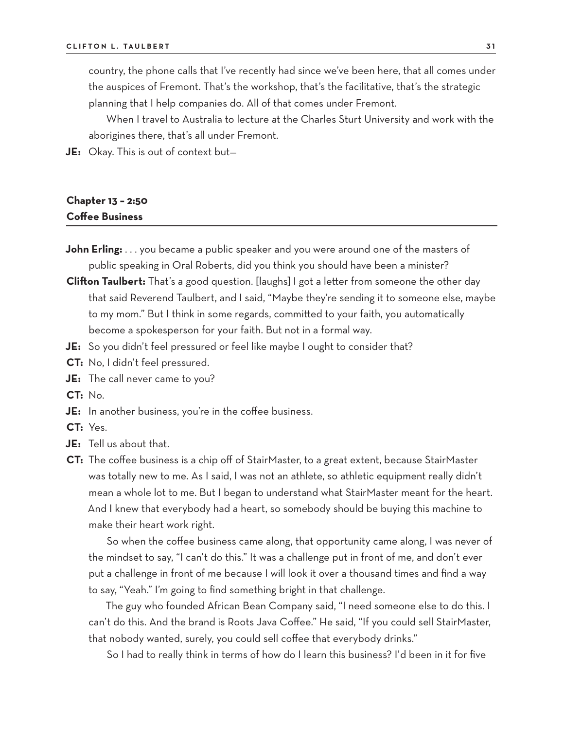country, the phone calls that I've recently had since we've been here, that all comes under the auspices of Fremont. That's the workshop, that's the facilitative, that's the strategic planning that I help companies do. All of that comes under Fremont.

When I travel to Australia to lecture at the Charles Sturt University and work with the aborigines there, that's all under Fremont.

**JE:** Okay. This is out of context but—

# **Chapter 13 – 2:50 Coffee Business**

- **John Erling:** . . . you became a public speaker and you were around one of the masters of public speaking in Oral Roberts, did you think you should have been a minister?
- **Clifton Taulbert:** That's a good question. [laughs] I got a letter from someone the other day that said Reverend Taulbert, and I said, "Maybe they're sending it to someone else, maybe to my mom." But I think in some regards, committed to your faith, you automatically become a spokesperson for your faith. But not in a formal way.
- **JE:** So you didn't feel pressured or feel like maybe I ought to consider that?
- **CT:** No, I didn't feel pressured.
- **JE:** The call never came to you?
- **CT:** No.
- **JE:** In another business, you're in the coffee business.
- **CT:** Yes.
- **JE:** Tell us about that.
- **CT:** The coffee business is a chip off of StairMaster, to a great extent, because StairMaster was totally new to me. As I said, I was not an athlete, so athletic equipment really didn't mean a whole lot to me. But I began to understand what StairMaster meant for the heart. And I knew that everybody had a heart, so somebody should be buying this machine to make their heart work right.

So when the coffee business came along, that opportunity came along, I was never of the mindset to say, "I can't do this." It was a challenge put in front of me, and don't ever put a challenge in front of me because I will look it over a thousand times and find a way to say, "Yeah." I'm going to find something bright in that challenge.

The guy who founded African Bean Company said, "I need someone else to do this. I can't do this. And the brand is Roots Java Coffee." He said, "If you could sell StairMaster, that nobody wanted, surely, you could sell coffee that everybody drinks."

So I had to really think in terms of how do I learn this business? I'd been in it for five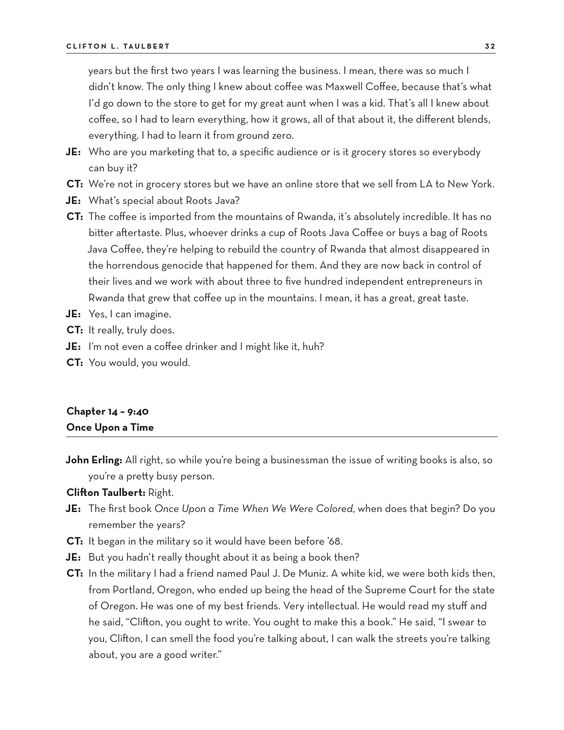years but the first two years I was learning the business. I mean, there was so much I didn't know. The only thing I knew about coffee was Maxwell Coffee, because that's what I'd go down to the store to get for my great aunt when I was a kid. That's all I knew about coffee, so I had to learn everything, how it grows, all of that about it, the different blends, everything. I had to learn it from ground zero.

- **JE:** Who are you marketing that to, a specific audience or is it grocery stores so everybody can buy it?
- **CT:** We're not in grocery stores but we have an online store that we sell from LA to New York.
- **JE:** What's special about Roots Java?
- **CT:** The coffee is imported from the mountains of Rwanda, it's absolutely incredible. It has no bitter aftertaste. Plus, whoever drinks a cup of Roots Java Coffee or buys a bag of Roots Java Coffee, they're helping to rebuild the country of Rwanda that almost disappeared in the horrendous genocide that happened for them. And they are now back in control of their lives and we work with about three to five hundred independent entrepreneurs in Rwanda that grew that coffee up in the mountains. I mean, it has a great, great taste.
- **JE:** Yes, I can imagine.
- **CT:** It really, truly does.
- **JE:** I'm not even a coffee drinker and I might like it, huh?
- **CT:** You would, you would.

### **Chapter 14 – 9:40 Once Upon a Time**

**John Erling:** All right, so while you're being a businessman the issue of writing books is also, so you're a pretty busy person.

### **Clifton Taulbert:** Right.

- **JE:** The first book *Once Upon a Time When We Were Colored*, when does that begin? Do you remember the years?
- **CT:** It began in the military so it would have been before '68.
- **JE:** But you hadn't really thought about it as being a book then?
- **CT:** In the military I had a friend named Paul J. De Muniz. A white kid, we were both kids then, from Portland, Oregon, who ended up being the head of the Supreme Court for the state of Oregon. He was one of my best friends. Very intellectual. He would read my stuff and he said, "Clifton, you ought to write. You ought to make this a book." He said, "I swear to you, Clifton, I can smell the food you're talking about, I can walk the streets you're talking about, you are a good writer."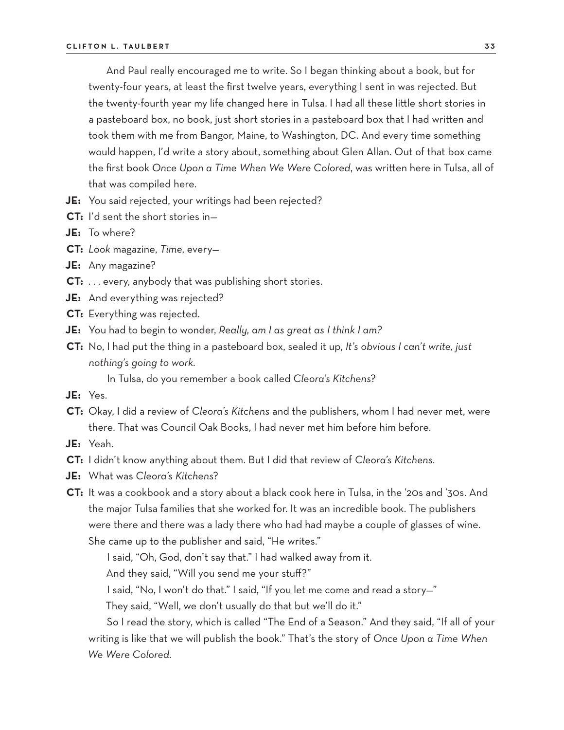And Paul really encouraged me to write. So I began thinking about a book, but for twenty-four years, at least the first twelve years, everything I sent in was rejected. But the twenty-fourth year my life changed here in Tulsa. I had all these little short stories in a pasteboard box, no book, just short stories in a pasteboard box that I had written and took them with me from Bangor, Maine, to Washington, DC. And every time something would happen, I'd write a story about, something about Glen Allan. Out of that box came the first book *Once Upon a Time When We Were Colored*, was written here in Tulsa, all of that was compiled here.

- **JE:** You said rejected, your writings had been rejected?
- **CT:** I'd sent the short stories in—
- **JE:** To where?
- **CT:** *Look* magazine, *Time*, every—
- **JE:** Any magazine?
- **CT:** . . . every, anybody that was publishing short stories.
- **JE:** And everything was rejected?
- **CT:** Everything was rejected.
- **JE:** You had to begin to wonder, *Really, am I as great as I think I am?*
- **CT:** No, I had put the thing in a pasteboard box, sealed it up, *It's obvious I can't write, just nothing's going to work.*
	- In Tulsa, do you remember a book called *Cleora's Kitchens*?
- **JE:** Yes.
- **CT:** Okay, I did a review of *Cleora's Kitchens* and the publishers, whom I had never met, were there. That was Council Oak Books, I had never met him before him before.
- **JE:** Yeah.
- **CT:** I didn't know anything about them. But I did that review of *Cleora's Kitchens.*
- **JE:** What was *Cleora's Kitchens*?
- **CT:** It was a cookbook and a story about a black cook here in Tulsa, in the '20s and '30s. And the major Tulsa families that she worked for. It was an incredible book. The publishers were there and there was a lady there who had had maybe a couple of glasses of wine. She came up to the publisher and said, "He writes."

I said, "Oh, God, don't say that." I had walked away from it.

And they said, "Will you send me your stuff?"

I said, "No, I won't do that." I said, "If you let me come and read a story—"

They said, "Well, we don't usually do that but we'll do it."

So I read the story, which is called "The End of a Season." And they said, "If all of your writing is like that we will publish the book." That's the story of *Once Upon a Time When We Were Colored.*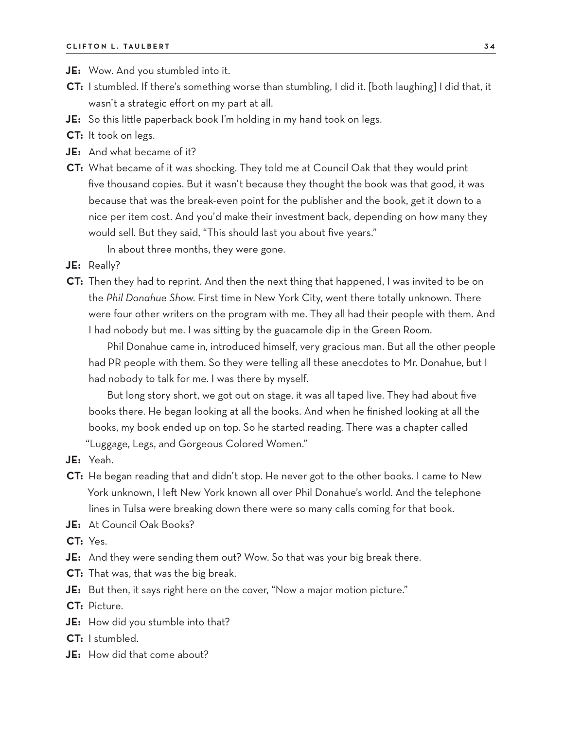**JE:** Wow. And you stumbled into it.

- **CT:** I stumbled. If there's something worse than stumbling, I did it. [both laughing] I did that, it wasn't a strategic effort on my part at all.
- **JE:** So this little paperback book I'm holding in my hand took on legs.
- **CT:** It took on legs.
- **JE:** And what became of it?
- **CT:** What became of it was shocking. They told me at Council Oak that they would print five thousand copies. But it wasn't because they thought the book was that good, it was because that was the break-even point for the publisher and the book, get it down to a nice per item cost. And you'd make their investment back, depending on how many they would sell. But they said, "This should last you about five years."

In about three months, they were gone.

- **JE:** Really?
- **CT:** Then they had to reprint. And then the next thing that happened, I was invited to be on the *Phil Donahue Show*. First time in New York City, went there totally unknown. There were four other writers on the program with me. They all had their people with them. And I had nobody but me. I was sitting by the guacamole dip in the Green Room.

Phil Donahue came in, introduced himself, very gracious man. But all the other people had PR people with them. So they were telling all these anecdotes to Mr. Donahue, but I had nobody to talk for me. I was there by myself.

But long story short, we got out on stage, it was all taped live. They had about five books there. He began looking at all the books. And when he finished looking at all the books, my book ended up on top. So he started reading. There was a chapter called "Luggage, Legs, and Gorgeous Colored Women."

- **JE:** Yeah.
- **CT:** He began reading that and didn't stop. He never got to the other books. I came to New York unknown, I left New York known all over Phil Donahue's world. And the telephone lines in Tulsa were breaking down there were so many calls coming for that book.
- **JE:** At Council Oak Books?

**CT:** Yes.

- **JE:** And they were sending them out? Wow. So that was your big break there.
- **CT:** That was, that was the big break.
- **JE:** But then, it says right here on the cover, "Now a major motion picture."

**CT:** Picture.

- **JE:** How did you stumble into that?
- **CT:** I stumbled.
- **JE:** How did that come about?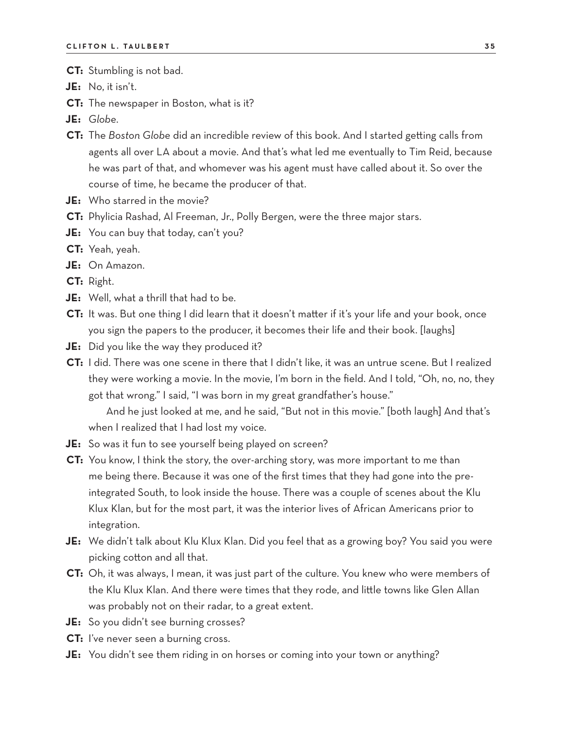- **CT:** Stumbling is not bad.
- **JE:** No, it isn't.
- **CT:** The newspaper in Boston, what is it?
- **JE:** *Globe*.
- **CT:** The *Boston Globe* did an incredible review of this book. And I started getting calls from agents all over LA about a movie. And that's what led me eventually to Tim Reid, because he was part of that, and whomever was his agent must have called about it. So over the course of time, he became the producer of that.
- **JE:** Who starred in the movie?
- **CT:** Phylicia Rashad, Al Freeman, Jr., Polly Bergen, were the three major stars.
- **JE:** You can buy that today, can't you?
- **CT:** Yeah, yeah.
- **JE:** On Amazon.
- **CT:** Right.
- **JE:** Well, what a thrill that had to be.
- **CT:** It was. But one thing I did learn that it doesn't matter if it's your life and your book, once you sign the papers to the producer, it becomes their life and their book. [laughs]
- **JE:** Did you like the way they produced it?
- **CT:** I did. There was one scene in there that I didn't like, it was an untrue scene. But I realized they were working a movie. In the movie, I'm born in the field. And I told, "Oh, no, no, they got that wrong." I said, "I was born in my great grandfather's house."

And he just looked at me, and he said, "But not in this movie." [both laugh] And that's when I realized that I had lost my voice.

- **JE:** So was it fun to see yourself being played on screen?
- **CT:** You know, I think the story, the over-arching story, was more important to me than me being there. Because it was one of the first times that they had gone into the preintegrated South, to look inside the house. There was a couple of scenes about the Klu Klux Klan, but for the most part, it was the interior lives of African Americans prior to integration.
- **JE:** We didn't talk about Klu Klux Klan. Did you feel that as a growing boy? You said you were picking cotton and all that.
- **CT:** Oh, it was always, I mean, it was just part of the culture. You knew who were members of the Klu Klux Klan. And there were times that they rode, and little towns like Glen Allan was probably not on their radar, to a great extent.
- **JE:** So you didn't see burning crosses?
- **CT:** I've never seen a burning cross.
- **JE:** You didn't see them riding in on horses or coming into your town or anything?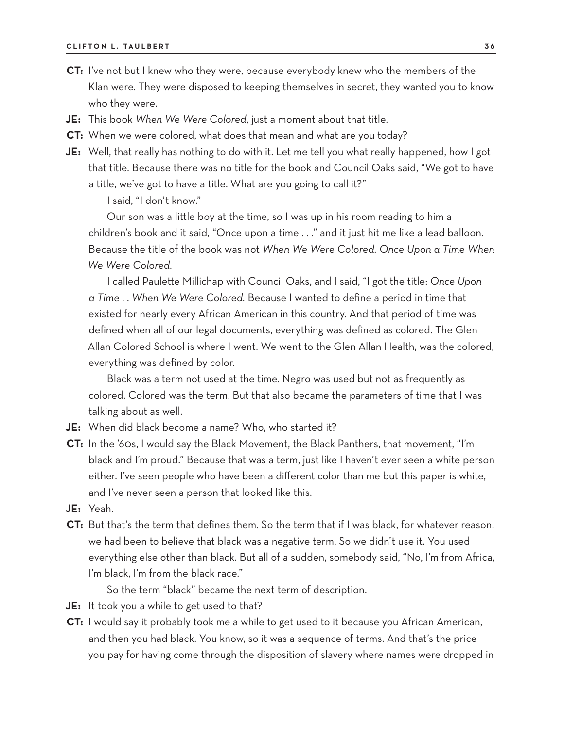- **CT:** I've not but I knew who they were, because everybody knew who the members of the Klan were. They were disposed to keeping themselves in secret, they wanted you to know who they were.
- **JE:** This book *When We Were Colored*, just a moment about that title.
- **CT:** When we were colored, what does that mean and what are you today?
- **JE:** Well, that really has nothing to do with it. Let me tell you what really happened, how I got that title. Because there was no title for the book and Council Oaks said, "We got to have a title, we've got to have a title. What are you going to call it?"

I said, "I don't know."

Our son was a little boy at the time, so I was up in his room reading to him a children's book and it said, "Once upon a time . . ." and it just hit me like a lead balloon. Because the title of the book was not *When We Were Colored. Once Upon a Time When We Were Colored.*

I called Paulette Millichap with Council Oaks, and I said, "I got the title: *Once Upon a Time* . . *When We Were Colored.* Because I wanted to define a period in time that existed for nearly every African American in this country. And that period of time was defined when all of our legal documents, everything was defined as colored. The Glen Allan Colored School is where I went. We went to the Glen Allan Health, was the colored, everything was defined by color.

Black was a term not used at the time. Negro was used but not as frequently as colored. Colored was the term. But that also became the parameters of time that I was talking about as well.

- **JE:** When did black become a name? Who, who started it?
- **CT:** In the '60s, I would say the Black Movement, the Black Panthers, that movement, "I'm black and I'm proud." Because that was a term, just like I haven't ever seen a white person either. I've seen people who have been a different color than me but this paper is white, and I've never seen a person that looked like this.
- **JE:** Yeah.
- **CT:** But that's the term that defines them. So the term that if I was black, for whatever reason, we had been to believe that black was a negative term. So we didn't use it. You used everything else other than black. But all of a sudden, somebody said, "No, I'm from Africa, I'm black, I'm from the black race."

So the term "black" became the next term of description.

- **JE:** It took you a while to get used to that?
- **CT:** I would say it probably took me a while to get used to it because you African American, and then you had black. You know, so it was a sequence of terms. And that's the price you pay for having come through the disposition of slavery where names were dropped in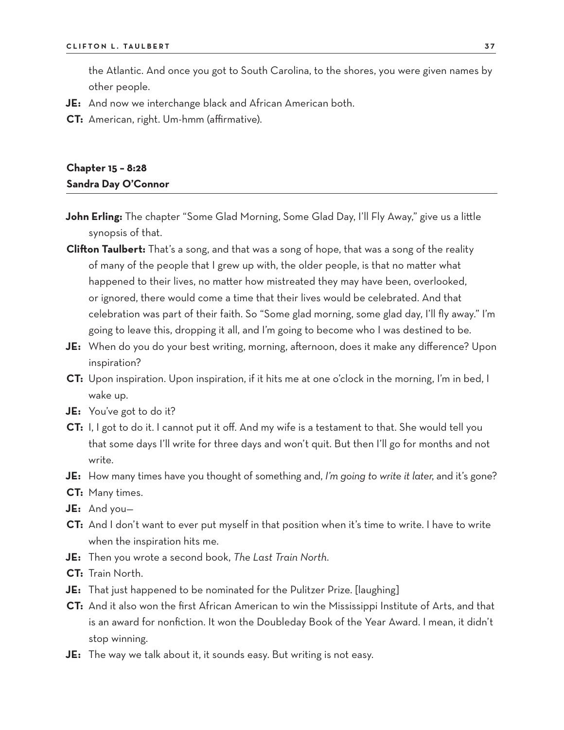the Atlantic. And once you got to South Carolina, to the shores, you were given names by other people.

- **JE:** And now we interchange black and African American both.
- **CT:** American, right. Um-hmm (affirmative).

### **Chapter 15 – 8:28 Sandra Day O'Connor**

- **John Erling:** The chapter "Some Glad Morning, Some Glad Day, I'll Fly Away," give us a little synopsis of that.
- **Clifton Taulbert:** That's a song, and that was a song of hope, that was a song of the reality of many of the people that I grew up with, the older people, is that no matter what happened to their lives, no matter how mistreated they may have been, overlooked, or ignored, there would come a time that their lives would be celebrated. And that celebration was part of their faith. So "Some glad morning, some glad day, I'll fly away." I'm going to leave this, dropping it all, and I'm going to become who I was destined to be.
- **JE:** When do you do your best writing, morning, afternoon, does it make any difference? Upon inspiration?
- **CT:** Upon inspiration. Upon inspiration, if it hits me at one o'clock in the morning, I'm in bed, I wake up.
- **JE:** You've got to do it?
- **CT:** I, I got to do it. I cannot put it off. And my wife is a testament to that. She would tell you that some days I'll write for three days and won't quit. But then I'll go for months and not write.
- **JE:** How many times have you thought of something and, *I'm going to write it later*, and it's gone?
- **CT:** Many times.
- **JE:** And you—
- **CT:** And I don't want to ever put myself in that position when it's time to write. I have to write when the inspiration hits me.
- **JE:** Then you wrote a second book, *The Last Train North*.
- **CT:** Train North.
- **JE:** That just happened to be nominated for the Pulitzer Prize. [laughing]
- **CT:** And it also won the first African American to win the Mississippi Institute of Arts, and that is an award for nonfiction. It won the Doubleday Book of the Year Award. I mean, it didn't stop winning.
- **JE:** The way we talk about it, it sounds easy. But writing is not easy.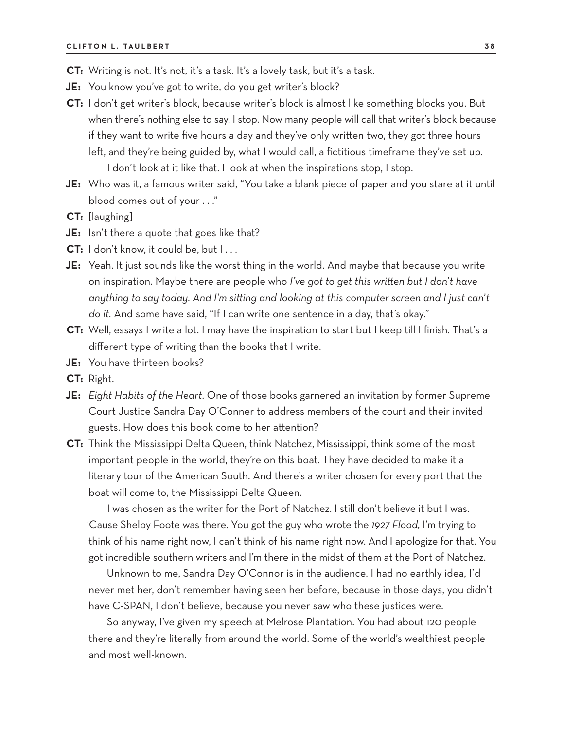- **CT:** Writing is not. It's not, it's a task. It's a lovely task, but it's a task.
- **JE:** You know you've got to write, do you get writer's block?
- **CT:** I don't get writer's block, because writer's block is almost like something blocks you. But when there's nothing else to say, I stop. Now many people will call that writer's block because if they want to write five hours a day and they've only written two, they got three hours left, and they're being guided by, what I would call, a fictitious timeframe they've set up. I don't look at it like that. I look at when the inspirations stop, I stop.
- **JE:** Who was it, a famous writer said, "You take a blank piece of paper and you stare at it until blood comes out of your . . ."
- **CT:** [laughing]
- **JE:** Isn't there a quote that goes like that?
- **CT:** I don't know, it could be, but I...
- **JE:** Yeah. It just sounds like the worst thing in the world. And maybe that because you write on inspiration. Maybe there are people who *I've got to get this written but I don't have anything to say today. And I'm sitting and looking at this computer screen and I just can't do it.* And some have said, "If I can write one sentence in a day, that's okay."
- **CT:** Well, essays I write a lot. I may have the inspiration to start but I keep till I finish. That's a different type of writing than the books that I write.
- **JE:** You have thirteen books?
- **CT:** Right.
- **JE:** *Eight Habits of the Heart*. One of those books garnered an invitation by former Supreme Court Justice Sandra Day O'Conner to address members of the court and their invited guests. How does this book come to her attention?
- **CT:** Think the Mississippi Delta Queen, think Natchez, Mississippi, think some of the most important people in the world, they're on this boat. They have decided to make it a literary tour of the American South. And there's a writer chosen for every port that the boat will come to, the Mississippi Delta Queen.

I was chosen as the writer for the Port of Natchez. I still don't believe it but I was. 'Cause Shelby Foote was there. You got the guy who wrote the *1927 Flood,* I'm trying to think of his name right now, I can't think of his name right now. And I apologize for that. You got incredible southern writers and I'm there in the midst of them at the Port of Natchez.

Unknown to me, Sandra Day O'Connor is in the audience. I had no earthly idea, I'd never met her, don't remember having seen her before, because in those days, you didn't have C-SPAN, I don't believe, because you never saw who these justices were.

So anyway, I've given my speech at Melrose Plantation. You had about 120 people there and they're literally from around the world. Some of the world's wealthiest people and most well-known.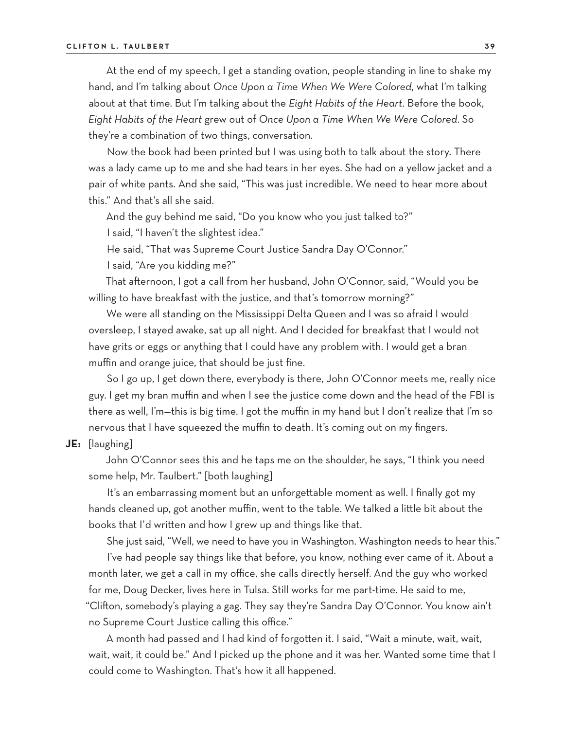At the end of my speech, I get a standing ovation, people standing in line to shake my hand, and I'm talking about *Once Upon a Time When We Were Colored*, what I'm talking about at that time. But I'm talking about the *Eight Habits of the Heart*. Before the book, *Eight Habits of the Heart* grew out of *Once Upon a Time When We Were Colored*. So they're a combination of two things, conversation.

Now the book had been printed but I was using both to talk about the story. There was a lady came up to me and she had tears in her eyes. She had on a yellow jacket and a pair of white pants. And she said, "This was just incredible. We need to hear more about this." And that's all she said.

And the guy behind me said, "Do you know who you just talked to?"

I said, "I haven't the slightest idea."

He said, "That was Supreme Court Justice Sandra Day O'Connor."

I said, "Are you kidding me?"

That afternoon, I got a call from her husband, John O'Connor, said, "Would you be willing to have breakfast with the justice, and that's tomorrow morning?"

We were all standing on the Mississippi Delta Queen and I was so afraid I would oversleep, I stayed awake, sat up all night. And I decided for breakfast that I would not have grits or eggs or anything that I could have any problem with. I would get a bran muffin and orange juice, that should be just fine.

So I go up, I get down there, everybody is there, John O'Connor meets me, really nice guy. I get my bran muffin and when I see the justice come down and the head of the FBI is there as well, I'm—this is big time. I got the muffin in my hand but I don't realize that I'm so nervous that I have squeezed the muffin to death. It's coming out on my fingers.

**JE:** [laughing]

John O'Connor sees this and he taps me on the shoulder, he says, "I think you need some help, Mr. Taulbert." [both laughing]

It's an embarrassing moment but an unforgettable moment as well. I finally got my hands cleaned up, got another muffin, went to the table. We talked a little bit about the books that I'd written and how I grew up and things like that.

She just said, "Well, we need to have you in Washington. Washington needs to hear this."

I've had people say things like that before, you know, nothing ever came of it. About a month later, we get a call in my office, she calls directly herself. And the guy who worked for me, Doug Decker, lives here in Tulsa. Still works for me part-time. He said to me, "Clifton, somebody's playing a gag. They say they're Sandra Day O'Connor. You know ain't no Supreme Court Justice calling this office."

A month had passed and I had kind of forgotten it. I said, "Wait a minute, wait, wait, wait, wait, it could be." And I picked up the phone and it was her. Wanted some time that I could come to Washington. That's how it all happened.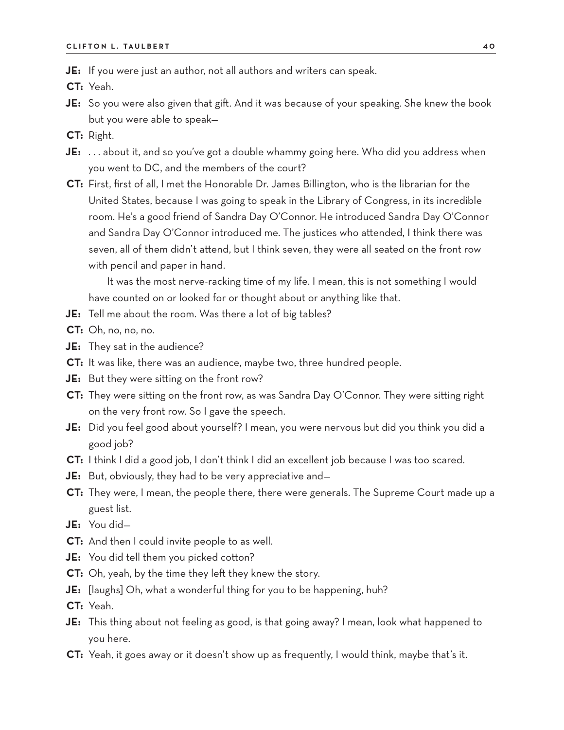**JE:** If you were just an author, not all authors and writers can speak.

**CT:** Yeah.

- **JE:** So you were also given that gift. And it was because of your speaking. She knew the book but you were able to speak—
- **CT:** Right.
- **JE:** . . . about it, and so you've got a double whammy going here. Who did you address when you went to DC, and the members of the court?
- **CT:** First, first of all, I met the Honorable Dr. James Billington, who is the librarian for the United States, because I was going to speak in the Library of Congress, in its incredible room. He's a good friend of Sandra Day O'Connor. He introduced Sandra Day O'Connor and Sandra Day O'Connor introduced me. The justices who attended, I think there was seven, all of them didn't attend, but I think seven, they were all seated on the front row with pencil and paper in hand.

It was the most nerve-racking time of my life. I mean, this is not something I would have counted on or looked for or thought about or anything like that.

**JE:** Tell me about the room. Was there a lot of big tables?

**CT:** Oh, no, no, no.

- **JE:** They sat in the audience?
- **CT:** It was like, there was an audience, maybe two, three hundred people.
- **JE:** But they were sitting on the front row?
- **CT:** They were sitting on the front row, as was Sandra Day O'Connor. They were sitting right on the very front row. So I gave the speech.
- **JE:** Did you feel good about yourself? I mean, you were nervous but did you think you did a good job?
- **CT:** I think I did a good job, I don't think I did an excellent job because I was too scared.
- **JE:** But, obviously, they had to be very appreciative and—
- **CT:** They were, I mean, the people there, there were generals. The Supreme Court made up a guest list.
- **JE:** You did—
- **CT:** And then I could invite people to as well.
- **JE:** You did tell them you picked cotton?
- **CT:** Oh, yeah, by the time they left they knew the story.
- **JE:** [laughs] Oh, what a wonderful thing for you to be happening, huh?

**CT:** Yeah.

- **JE:** This thing about not feeling as good, is that going away? I mean, look what happened to you here.
- **CT:** Yeah, it goes away or it doesn't show up as frequently, I would think, maybe that's it.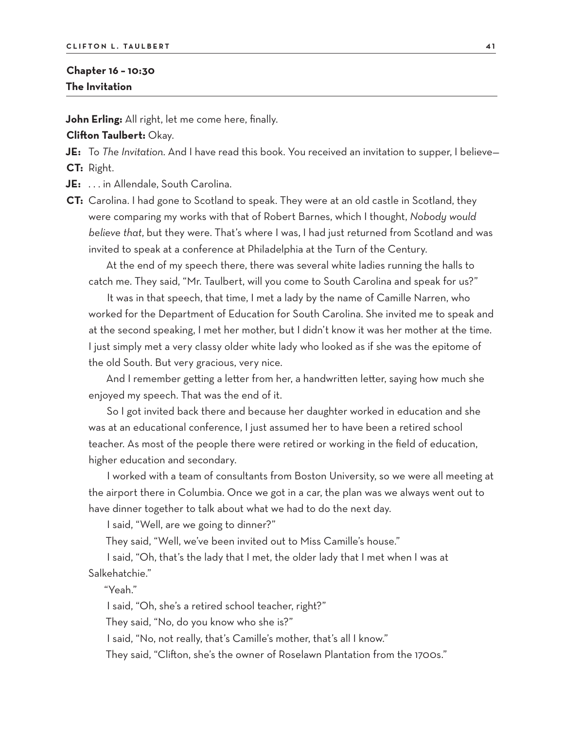### **Chapter 16 – 10:30 The Invitation**

**John Erling:** All right, let me come here, finally.

**Clifton Taulbert:** Okay.

**JE:** To *The Invitation*. And I have read this book. You received an invitation to supper, I believe— **CT:** Right.

**JE:** . . . in Allendale, South Carolina.

**CT:** Carolina. I had gone to Scotland to speak. They were at an old castle in Scotland, they were comparing my works with that of Robert Barnes, which I thought, *Nobody would believe that*, but they were. That's where I was, I had just returned from Scotland and was invited to speak at a conference at Philadelphia at the Turn of the Century.

At the end of my speech there, there was several white ladies running the halls to catch me. They said, "Mr. Taulbert, will you come to South Carolina and speak for us?"

It was in that speech, that time, I met a lady by the name of Camille Narren, who worked for the Department of Education for South Carolina. She invited me to speak and at the second speaking, I met her mother, but I didn't know it was her mother at the time. I just simply met a very classy older white lady who looked as if she was the epitome of the old South. But very gracious, very nice.

And I remember getting a letter from her, a handwritten letter, saying how much she enjoyed my speech. That was the end of it.

So I got invited back there and because her daughter worked in education and she was at an educational conference, I just assumed her to have been a retired school teacher. As most of the people there were retired or working in the field of education, higher education and secondary.

I worked with a team of consultants from Boston University, so we were all meeting at the airport there in Columbia. Once we got in a car, the plan was we always went out to have dinner together to talk about what we had to do the next day.

I said, "Well, are we going to dinner?"

They said, "Well, we've been invited out to Miss Camille's house."

I said, "Oh, that's the lady that I met, the older lady that I met when I was at Salkehatchie."

"Yeah."

I said, "Oh, she's a retired school teacher, right?"

They said, "No, do you know who she is?"

I said, "No, not really, that's Camille's mother, that's all I know."

They said, "Clifton, she's the owner of Roselawn Plantation from the 1700s."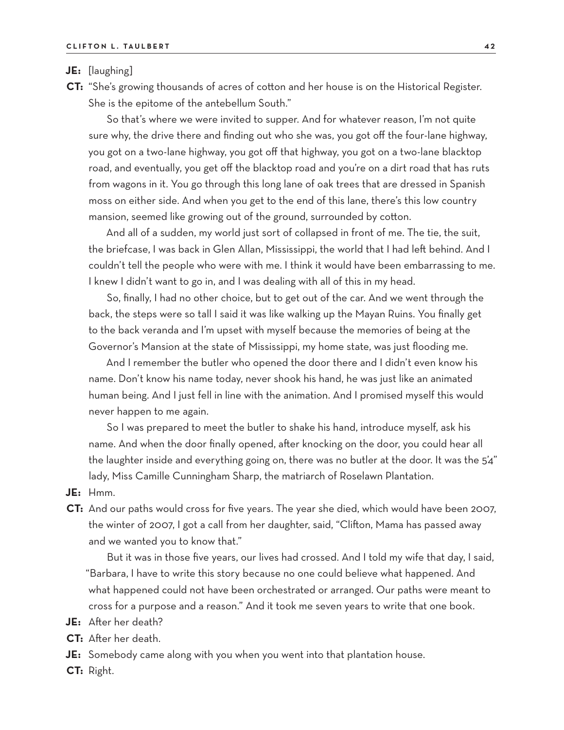**JE:** [laughing]

**CT:** "She's growing thousands of acres of cotton and her house is on the Historical Register. She is the epitome of the antebellum South."

So that's where we were invited to supper. And for whatever reason, I'm not quite sure why, the drive there and finding out who she was, you got off the four-lane highway, you got on a two-lane highway, you got off that highway, you got on a two-lane blacktop road, and eventually, you get off the blacktop road and you're on a dirt road that has ruts from wagons in it. You go through this long lane of oak trees that are dressed in Spanish moss on either side. And when you get to the end of this lane, there's this low country mansion, seemed like growing out of the ground, surrounded by cotton.

And all of a sudden, my world just sort of collapsed in front of me. The tie, the suit, the briefcase, I was back in Glen Allan, Mississippi, the world that I had left behind. And I couldn't tell the people who were with me. I think it would have been embarrassing to me. I knew I didn't want to go in, and I was dealing with all of this in my head.

So, finally, I had no other choice, but to get out of the car. And we went through the back, the steps were so tall I said it was like walking up the Mayan Ruins. You finally get to the back veranda and I'm upset with myself because the memories of being at the Governor's Mansion at the state of Mississippi, my home state, was just flooding me.

And I remember the butler who opened the door there and I didn't even know his name. Don't know his name today, never shook his hand, he was just like an animated human being. And I just fell in line with the animation. And I promised myself this would never happen to me again.

So I was prepared to meet the butler to shake his hand, introduce myself, ask his name. And when the door finally opened, after knocking on the door, you could hear all the laughter inside and everything going on, there was no butler at the door. It was the 5'4" lady, Miss Camille Cunningham Sharp, the matriarch of Roselawn Plantation.

- **JE:** Hmm.
- **CT:** And our paths would cross for five years. The year she died, which would have been 2007, the winter of 2007, I got a call from her daughter, said, "Clifton, Mama has passed away and we wanted you to know that."

But it was in those five years, our lives had crossed. And I told my wife that day, I said, "Barbara, I have to write this story because no one could believe what happened. And what happened could not have been orchestrated or arranged. Our paths were meant to cross for a purpose and a reason." And it took me seven years to write that one book.

- **JE:** After her death?
- **CT:** After her death.
- **JE:** Somebody came along with you when you went into that plantation house.
- **CT:** Right.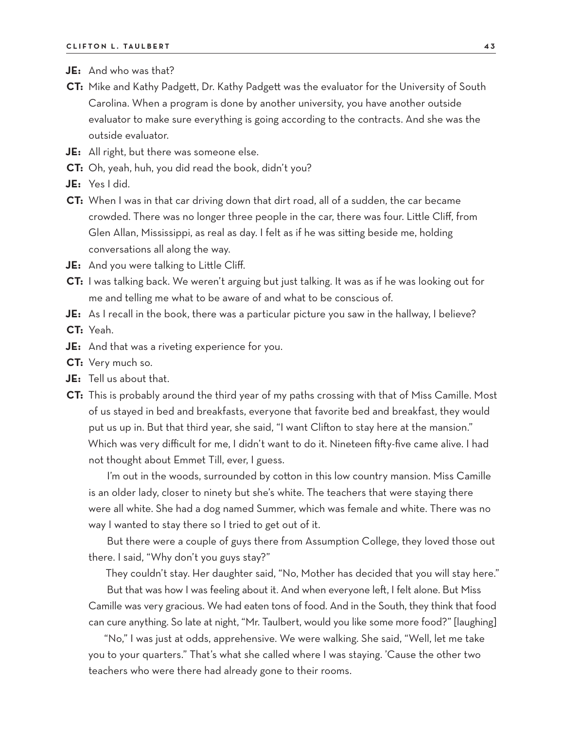- **JE:** And who was that?
- **CT:** Mike and Kathy Padgett, Dr. Kathy Padgett was the evaluator for the University of South Carolina. When a program is done by another university, you have another outside evaluator to make sure everything is going according to the contracts. And she was the outside evaluator.
- **JE:** All right, but there was someone else.
- **CT:** Oh, yeah, huh, you did read the book, didn't you?
- **JE:** Yes I did.
- **CT:** When I was in that car driving down that dirt road, all of a sudden, the car became crowded. There was no longer three people in the car, there was four. Little Cliff, from Glen Allan, Mississippi, as real as day. I felt as if he was sitting beside me, holding conversations all along the way.
- **JE:** And you were talking to Little Cliff.
- **CT:** I was talking back. We weren't arguing but just talking. It was as if he was looking out for me and telling me what to be aware of and what to be conscious of.
- **JE:** As I recall in the book, there was a particular picture you saw in the hallway, I believe?

**CT:** Yeah.

- **JE:** And that was a riveting experience for you.
- **CT:** Very much so.
- **JE:** Tell us about that.
- **CT:** This is probably around the third year of my paths crossing with that of Miss Camille. Most of us stayed in bed and breakfasts, everyone that favorite bed and breakfast, they would put us up in. But that third year, she said, "I want Clifton to stay here at the mansion." Which was very difficult for me, I didn't want to do it. Nineteen fifty-five came alive. I had not thought about Emmet Till, ever, I guess.

I'm out in the woods, surrounded by cotton in this low country mansion. Miss Camille is an older lady, closer to ninety but she's white. The teachers that were staying there were all white. She had a dog named Summer, which was female and white. There was no way I wanted to stay there so I tried to get out of it.

But there were a couple of guys there from Assumption College, they loved those out there. I said, "Why don't you guys stay?"

They couldn't stay. Her daughter said, "No, Mother has decided that you will stay here."

But that was how I was feeling about it. And when everyone left, I felt alone. But Miss Camille was very gracious. We had eaten tons of food. And in the South, they think that food can cure anything. So late at night, "Mr. Taulbert, would you like some more food?" [laughing]

"No," I was just at odds, apprehensive. We were walking. She said, "Well, let me take you to your quarters." That's what she called where I was staying. 'Cause the other two teachers who were there had already gone to their rooms.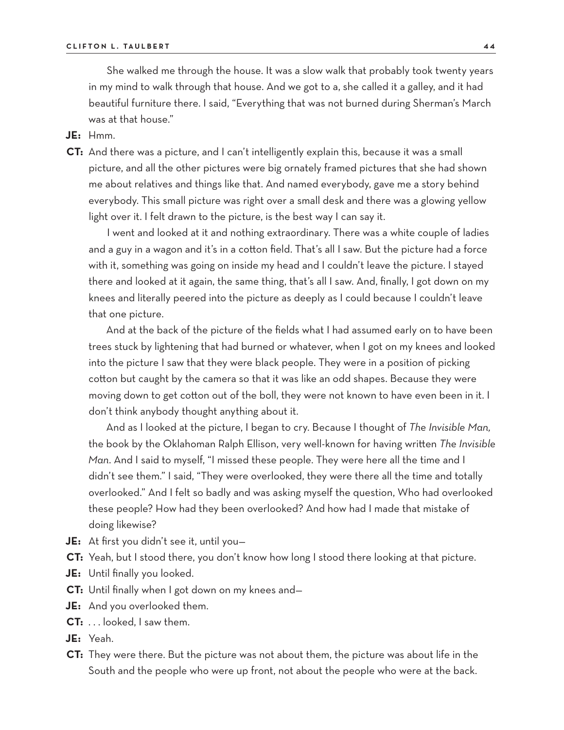She walked me through the house. It was a slow walk that probably took twenty years in my mind to walk through that house. And we got to a, she called it a galley, and it had beautiful furniture there. I said, "Everything that was not burned during Sherman's March was at that house."

**JE:** Hmm.

**CT:** And there was a picture, and I can't intelligently explain this, because it was a small picture, and all the other pictures were big ornately framed pictures that she had shown me about relatives and things like that. And named everybody, gave me a story behind everybody. This small picture was right over a small desk and there was a glowing yellow light over it. I felt drawn to the picture, is the best way I can say it.

I went and looked at it and nothing extraordinary. There was a white couple of ladies and a guy in a wagon and it's in a cotton field. That's all I saw. But the picture had a force with it, something was going on inside my head and I couldn't leave the picture. I stayed there and looked at it again, the same thing, that's all I saw. And, finally, I got down on my knees and literally peered into the picture as deeply as I could because I couldn't leave that one picture.

And at the back of the picture of the fields what I had assumed early on to have been trees stuck by lightening that had burned or whatever, when I got on my knees and looked into the picture I saw that they were black people. They were in a position of picking cotton but caught by the camera so that it was like an odd shapes. Because they were moving down to get cotton out of the boll, they were not known to have even been in it. I don't think anybody thought anything about it.

And as I looked at the picture, I began to cry. Because I thought of *The Invisible Man,* the book by the Oklahoman Ralph Ellison, very well-known for having written *The Invisible Man*. And I said to myself, "I missed these people. They were here all the time and I didn't see them." I said, "They were overlooked, they were there all the time and totally overlooked." And I felt so badly and was asking myself the question, Who had overlooked these people? How had they been overlooked? And how had I made that mistake of doing likewise?

- **JE:** At first you didn't see it, until you—
- **CT:** Yeah, but I stood there, you don't know how long I stood there looking at that picture.
- **JE:** Until finally you looked.
- **CT:** Until finally when I got down on my knees and—
- **JE:** And you overlooked them.
- **CT:** . . . looked, I saw them.
- **JE:** Yeah.
- **CT:** They were there. But the picture was not about them, the picture was about life in the South and the people who were up front, not about the people who were at the back.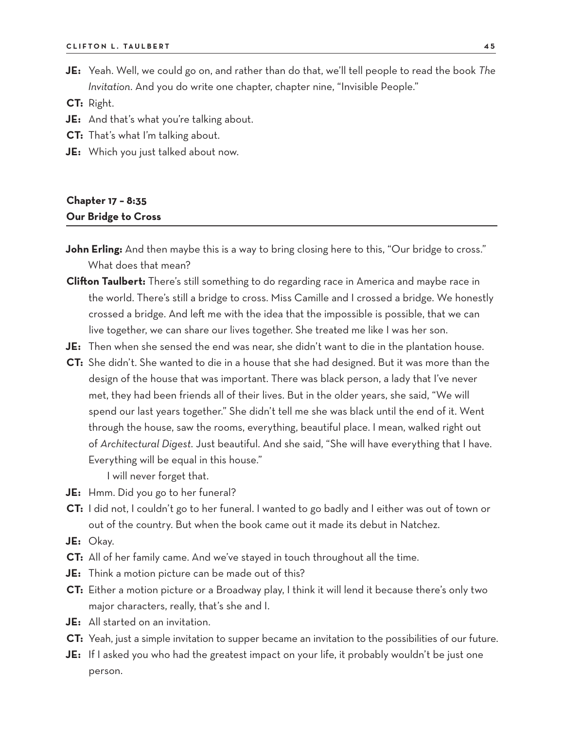**JE:** Yeah. Well, we could go on, and rather than do that, we'll tell people to read the book *The Invitation*. And you do write one chapter, chapter nine, "Invisible People."

**CT:** Right.

- **JE:** And that's what you're talking about.
- **CT:** That's what I'm talking about.
- **JE:** Which you just talked about now.

# **Chapter 17 – 8:35 Our Bridge to Cross**

- **John Erling:** And then maybe this is a way to bring closing here to this, "Our bridge to cross." What does that mean?
- **Clifton Taulbert:** There's still something to do regarding race in America and maybe race in the world. There's still a bridge to cross. Miss Camille and I crossed a bridge. We honestly crossed a bridge. And left me with the idea that the impossible is possible, that we can live together, we can share our lives together. She treated me like I was her son.
- **JE:** Then when she sensed the end was near, she didn't want to die in the plantation house.
- **CT:** She didn't. She wanted to die in a house that she had designed. But it was more than the design of the house that was important. There was black person, a lady that I've never met, they had been friends all of their lives. But in the older years, she said, "We will spend our last years together." She didn't tell me she was black until the end of it. Went through the house, saw the rooms, everything, beautiful place. I mean, walked right out of *Architectural Digest*. Just beautiful. And she said, "She will have everything that I have. Everything will be equal in this house."

I will never forget that.

- **JE:** Hmm. Did you go to her funeral?
- **CT:** I did not, I couldn't go to her funeral. I wanted to go badly and I either was out of town or out of the country. But when the book came out it made its debut in Natchez.
- **JE:** Okay.
- **CT:** All of her family came. And we've stayed in touch throughout all the time.
- **JE:** Think a motion picture can be made out of this?
- **CT:** Either a motion picture or a Broadway play, I think it will lend it because there's only two major characters, really, that's she and I.
- **JE:** All started on an invitation.
- **CT:** Yeah, just a simple invitation to supper became an invitation to the possibilities of our future.
- **JE:** If I asked you who had the greatest impact on your life, it probably wouldn't be just one person.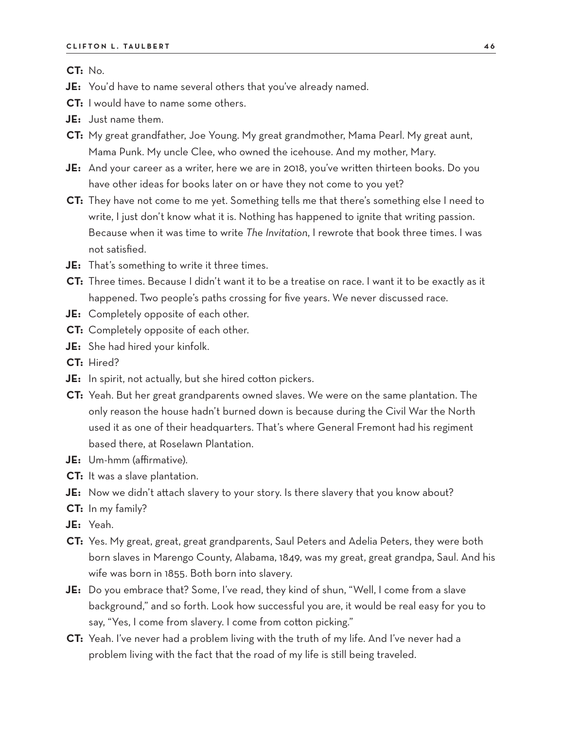**CT:** No.

- **JE:** You'd have to name several others that you've already named.
- **CT:** I would have to name some others.
- **JE:** Just name them.
- **CT:** My great grandfather, Joe Young. My great grandmother, Mama Pearl. My great aunt, Mama Punk. My uncle Clee, who owned the icehouse. And my mother, Mary.
- **JE:** And your career as a writer, here we are in 2018, you've written thirteen books. Do you have other ideas for books later on or have they not come to you yet?
- **CT:** They have not come to me yet. Something tells me that there's something else I need to write, I just don't know what it is. Nothing has happened to ignite that writing passion. Because when it was time to write *The Invitation*, I rewrote that book three times. I was not satisfied.
- **JE:** That's something to write it three times.
- **CT:** Three times. Because I didn't want it to be a treatise on race. I want it to be exactly as it happened. Two people's paths crossing for five years. We never discussed race.
- **JE:** Completely opposite of each other.
- **CT:** Completely opposite of each other.
- **JE:** She had hired your kinfolk.
- **CT:** Hired?
- **JE:** In spirit, not actually, but she hired cotton pickers.
- **CT:** Yeah. But her great grandparents owned slaves. We were on the same plantation. The only reason the house hadn't burned down is because during the Civil War the North used it as one of their headquarters. That's where General Fremont had his regiment based there, at Roselawn Plantation.
- **JE:** Um-hmm (affirmative).
- **CT:** It was a slave plantation.
- **JE:** Now we didn't attach slavery to your story. Is there slavery that you know about?
- **CT:** In my family?
- **JE:** Yeah.
- **CT:** Yes. My great, great, great grandparents, Saul Peters and Adelia Peters, they were both born slaves in Marengo County, Alabama, 1849, was my great, great grandpa, Saul. And his wife was born in 1855. Both born into slavery.
- **JE:** Do you embrace that? Some, I've read, they kind of shun, "Well, I come from a slave background," and so forth. Look how successful you are, it would be real easy for you to say, "Yes, I come from slavery. I come from cotton picking."
- **CT:** Yeah. I've never had a problem living with the truth of my life. And I've never had a problem living with the fact that the road of my life is still being traveled.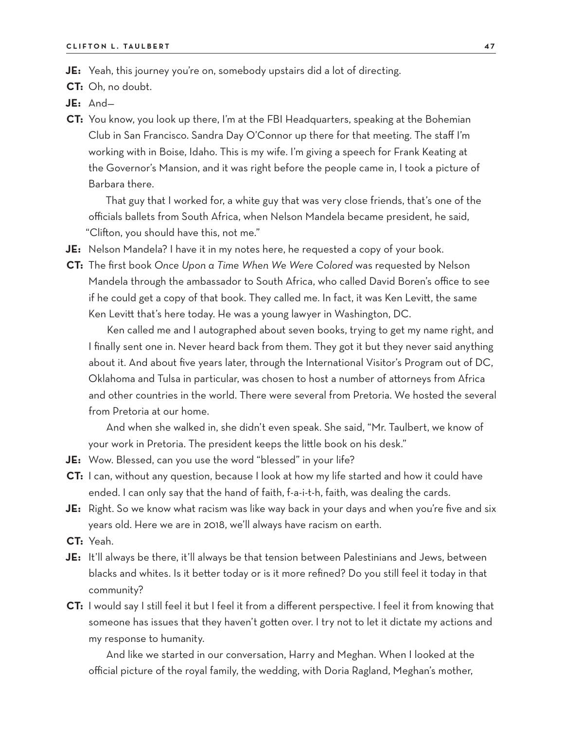**JE:** Yeah, this journey you're on, somebody upstairs did a lot of directing.

**CT:** Oh, no doubt.

- **JE:** And—
- **CT:** You know, you look up there, I'm at the FBI Headquarters, speaking at the Bohemian Club in San Francisco. Sandra Day O'Connor up there for that meeting. The staff I'm working with in Boise, Idaho. This is my wife. I'm giving a speech for Frank Keating at the Governor's Mansion, and it was right before the people came in, I took a picture of Barbara there.

That guy that I worked for, a white guy that was very close friends, that's one of the officials ballets from South Africa, when Nelson Mandela became president, he said, "Clifton, you should have this, not me."

- **JE:** Nelson Mandela? I have it in my notes here, he requested a copy of your book.
- **CT:** The first book *Once Upon a Time When We Were Colored* was requested by Nelson Mandela through the ambassador to South Africa, who called David Boren's office to see if he could get a copy of that book. They called me. In fact, it was Ken Levitt, the same Ken Levitt that's here today. He was a young lawyer in Washington, DC.

Ken called me and I autographed about seven books, trying to get my name right, and I finally sent one in. Never heard back from them. They got it but they never said anything about it. And about five years later, through the International Visitor's Program out of DC, Oklahoma and Tulsa in particular, was chosen to host a number of attorneys from Africa and other countries in the world. There were several from Pretoria. We hosted the several from Pretoria at our home.

And when she walked in, she didn't even speak. She said, "Mr. Taulbert, we know of your work in Pretoria. The president keeps the little book on his desk."

- **JE:** Wow. Blessed, can you use the word "blessed" in your life?
- **CT:** I can, without any question, because I look at how my life started and how it could have ended. I can only say that the hand of faith, f-a-i-t-h, faith, was dealing the cards.
- **JE:** Right. So we know what racism was like way back in your days and when you're five and six years old. Here we are in 2018, we'll always have racism on earth.
- **CT:** Yeah.
- **JE:** It'll always be there, it'll always be that tension between Palestinians and Jews, between blacks and whites. Is it better today or is it more refined? Do you still feel it today in that community?
- **CT:** I would say I still feel it but I feel it from a different perspective. I feel it from knowing that someone has issues that they haven't gotten over. I try not to let it dictate my actions and my response to humanity.

And like we started in our conversation, Harry and Meghan. When I looked at the official picture of the royal family, the wedding, with Doria Ragland, Meghan's mother,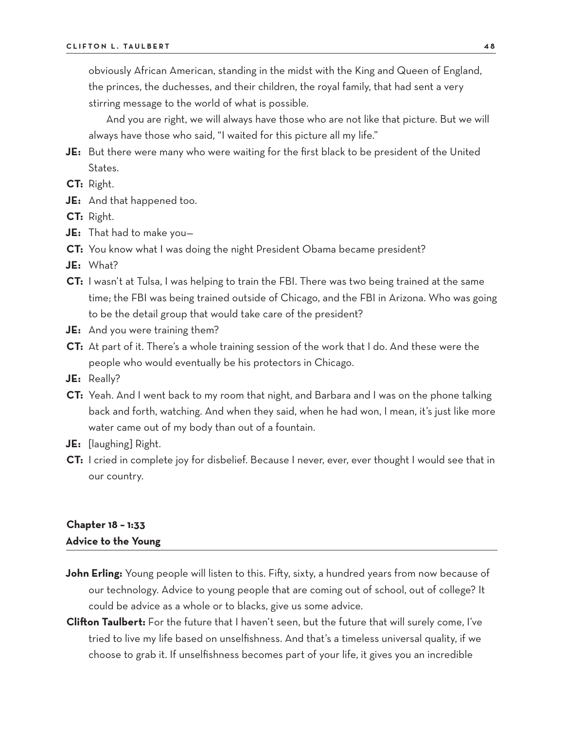obviously African American, standing in the midst with the King and Queen of England, the princes, the duchesses, and their children, the royal family, that had sent a very stirring message to the world of what is possible.

And you are right, we will always have those who are not like that picture. But we will always have those who said, "I waited for this picture all my life."

- **JE:** But there were many who were waiting for the first black to be president of the United States.
- **CT:** Right.
- **JE:** And that happened too.
- **CT:** Right.
- **JE:** That had to make you—
- **CT:** You know what I was doing the night President Obama became president?
- **JE:** What?
- **CT:** I wasn't at Tulsa, I was helping to train the FBI. There was two being trained at the same time; the FBI was being trained outside of Chicago, and the FBI in Arizona. Who was going to be the detail group that would take care of the president?
- **JE:** And you were training them?
- **CT:** At part of it. There's a whole training session of the work that I do. And these were the people who would eventually be his protectors in Chicago.
- **JE:** Really?
- **CT:** Yeah. And I went back to my room that night, and Barbara and I was on the phone talking back and forth, watching. And when they said, when he had won, I mean, it's just like more water came out of my body than out of a fountain.
- **JE:** [laughing] Right.
- **CT:** I cried in complete joy for disbelief. Because I never, ever, ever thought I would see that in our country.

### **Chapter 18 – 1:33 Advice to the Young**

- **John Erling:** Young people will listen to this. Fifty, sixty, a hundred years from now because of our technology. Advice to young people that are coming out of school, out of college? It could be advice as a whole or to blacks, give us some advice.
- **Clifton Taulbert:** For the future that I haven't seen, but the future that will surely come, I've tried to live my life based on unselfishness. And that's a timeless universal quality, if we choose to grab it. If unselfishness becomes part of your life, it gives you an incredible